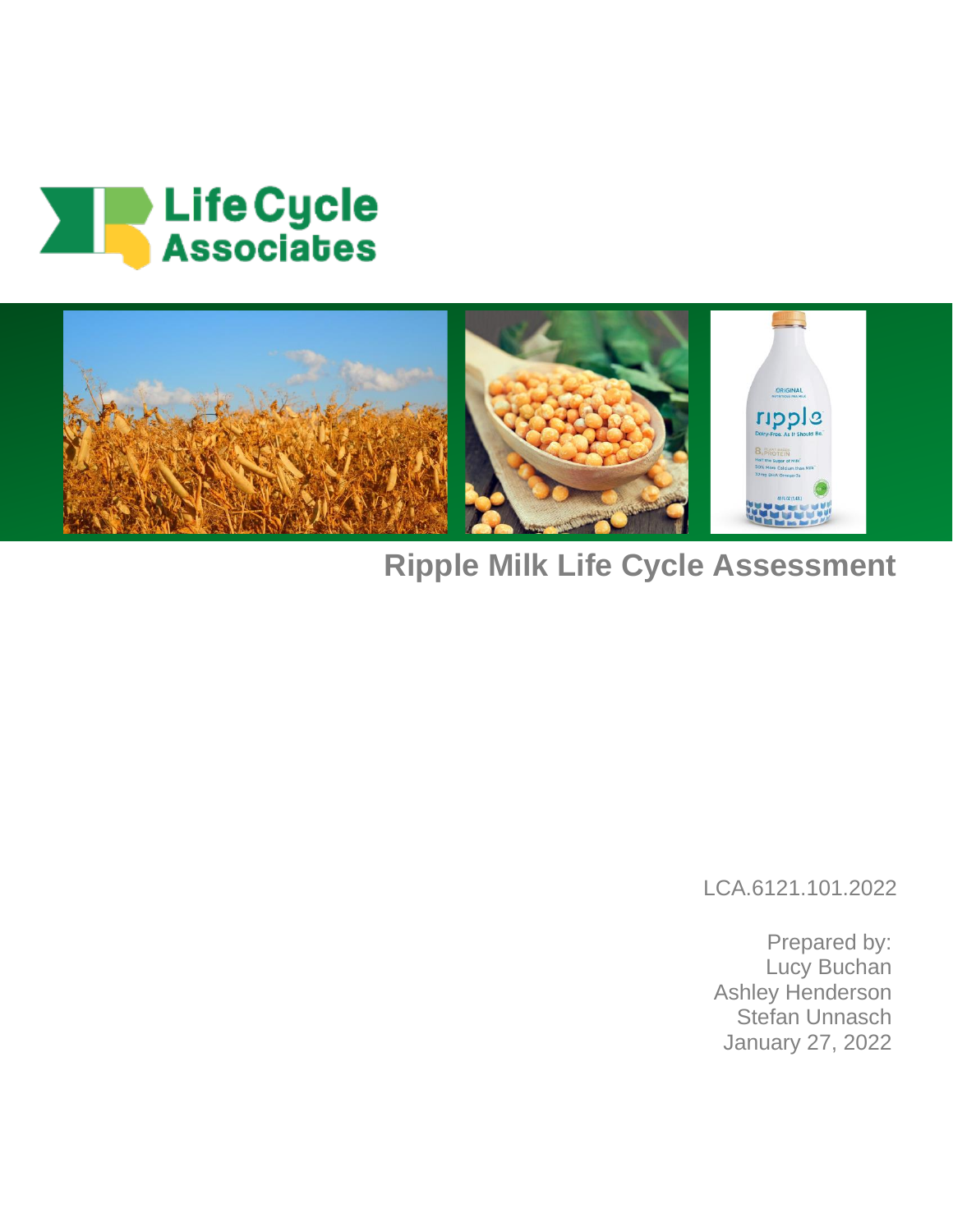



# **Ripple Milk Life Cycle Assessment**

LCA.6121.101.2022

Prepared by: Lucy Buchan Ashley Henderson Stefan Unnasch January 27, 2022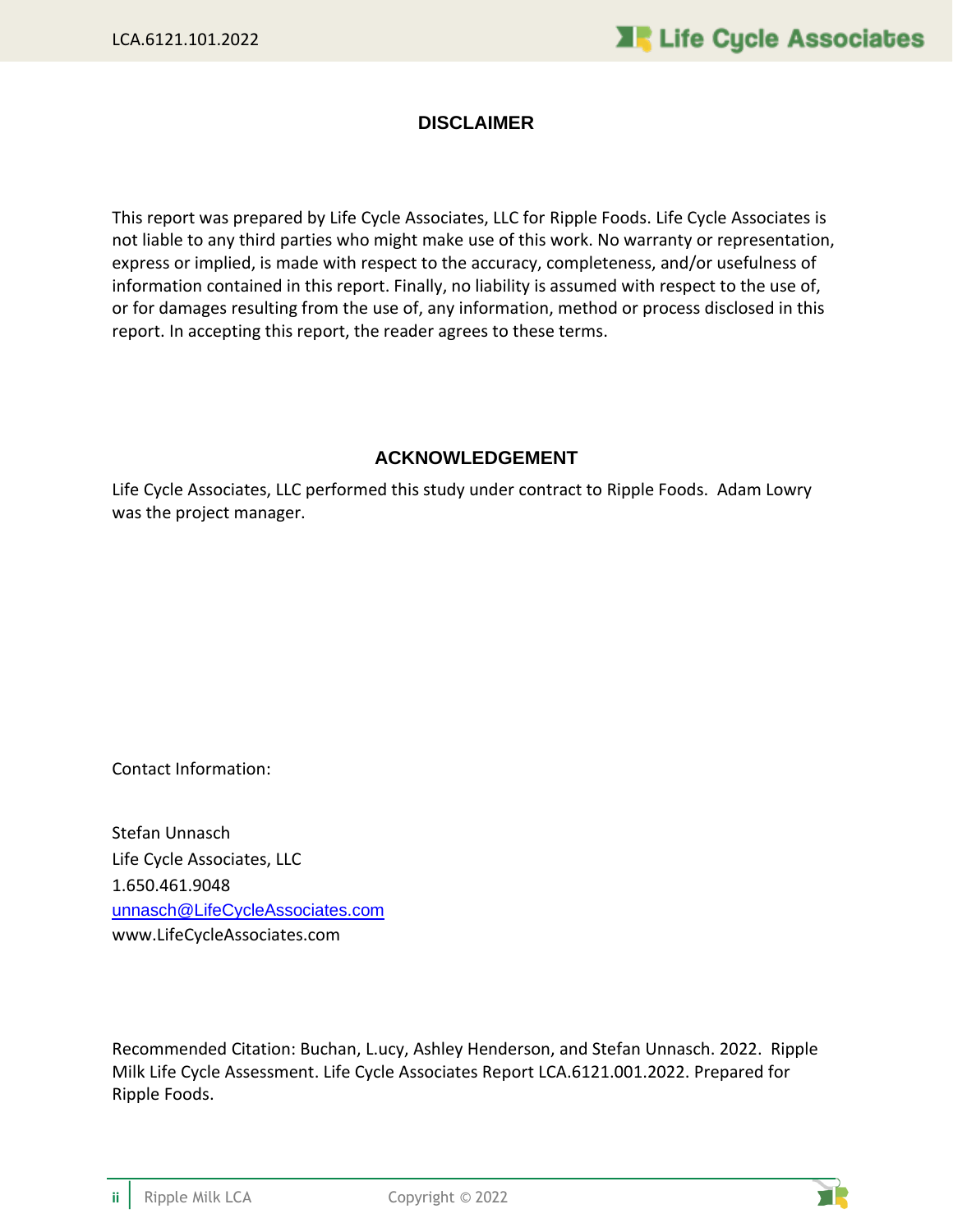#### **DISCLAIMER**

This report was prepared by Life Cycle Associates, LLC for Ripple Foods. Life Cycle Associates is not liable to any third parties who might make use of this work. No warranty or representation, express or implied, is made with respect to the accuracy, completeness, and/or usefulness of information contained in this report. Finally, no liability is assumed with respect to the use of, or for damages resulting from the use of, any information, method or process disclosed in this report. In accepting this report, the reader agrees to these terms.

#### **ACKNOWLEDGEMENT**

Life Cycle Associates, LLC performed this study under contract to Ripple Foods. Adam Lowry was the project manager.

Contact Information:

Stefan Unnasch Life Cycle Associates, LLC 1.650.461.9048 [unnasch@LifeCycleAssociates.com](mailto:unnasch@LifeCycleAssociates.com) www.LifeCycleAssociates.com

Recommended Citation: Buchan, L.ucy, Ashley Henderson, and Stefan Unnasch. 2022. Ripple Milk Life Cycle Assessment. Life Cycle Associates Report LCA.6121.001.2022. Prepared for Ripple Foods.

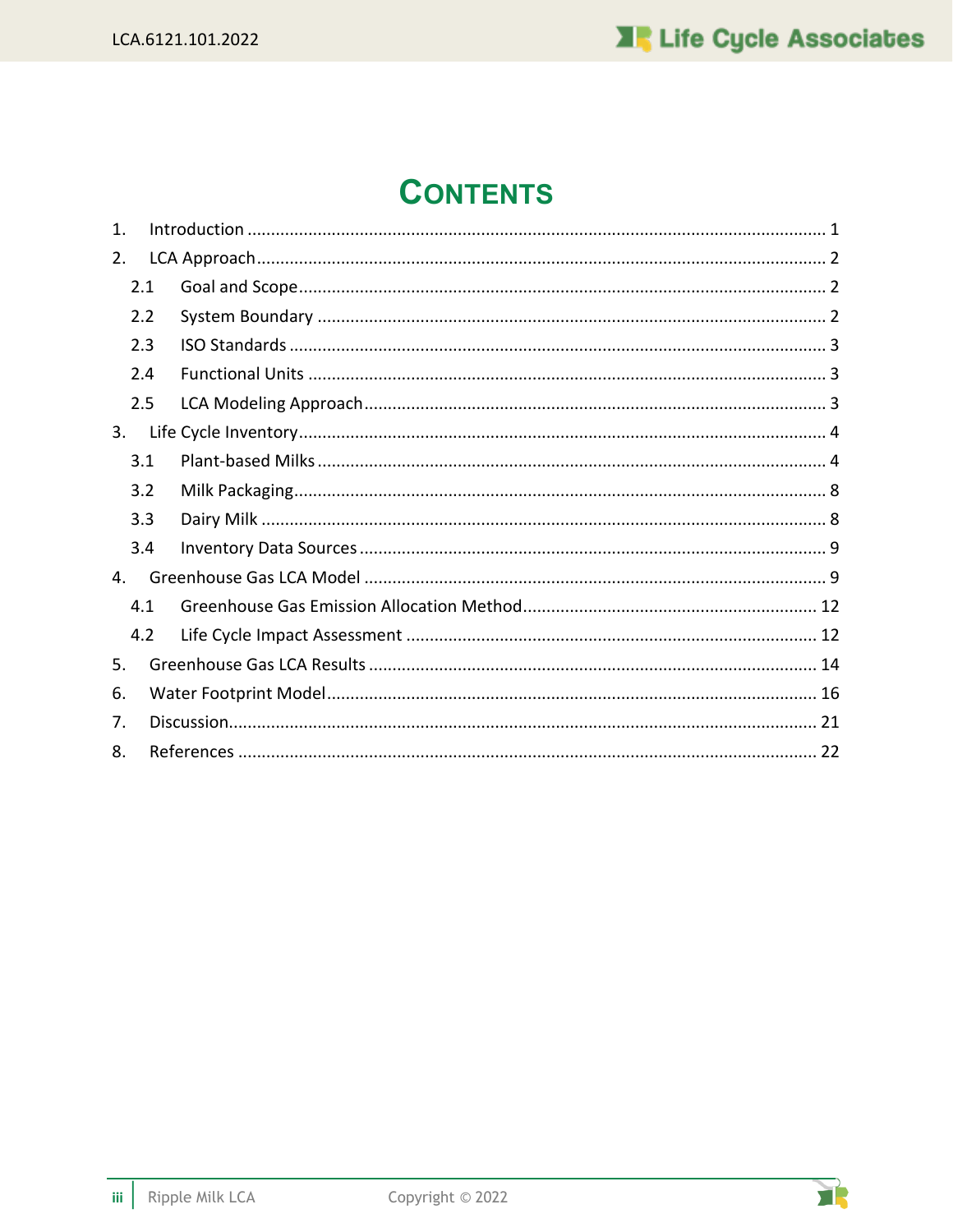# **CONTENTS**

| $\mathbf{1}$ . |  |  |  |  |  |
|----------------|--|--|--|--|--|
| 2.             |  |  |  |  |  |
| 2.1            |  |  |  |  |  |
| 2.2            |  |  |  |  |  |
| 2.3            |  |  |  |  |  |
| 2.4            |  |  |  |  |  |
| 2.5            |  |  |  |  |  |
| 3.             |  |  |  |  |  |
| 3.1            |  |  |  |  |  |
| 3.2            |  |  |  |  |  |
| 3.3            |  |  |  |  |  |
| 3.4            |  |  |  |  |  |
| 4.             |  |  |  |  |  |
| 4.1            |  |  |  |  |  |
| 4.2            |  |  |  |  |  |
| 5.             |  |  |  |  |  |
| 6.             |  |  |  |  |  |
| 7.             |  |  |  |  |  |
| 8.             |  |  |  |  |  |

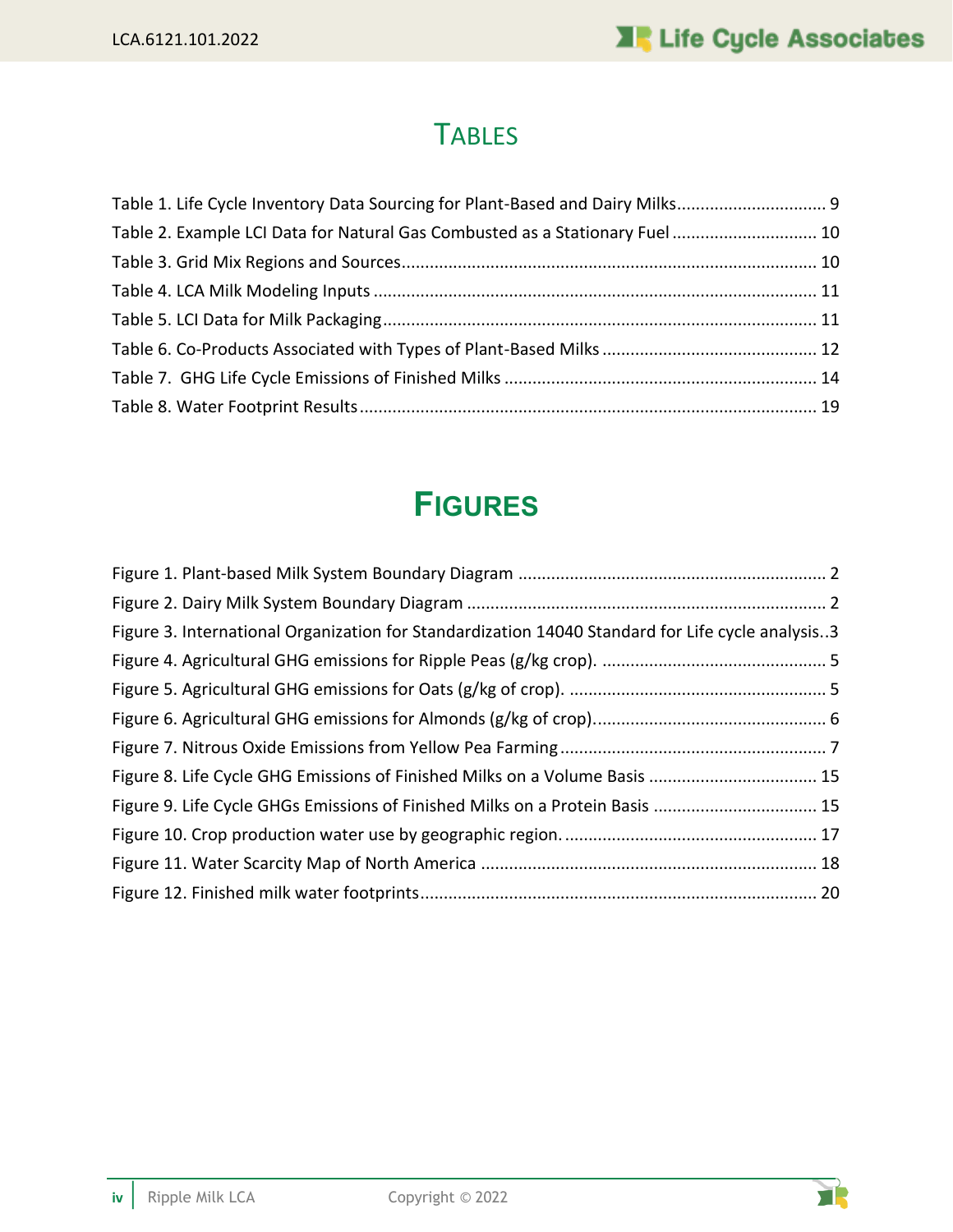# **TABLES**

| Table 1. Life Cycle Inventory Data Sourcing for Plant-Based and Dairy Milks 9 |  |
|-------------------------------------------------------------------------------|--|
| Table 2. Example LCI Data for Natural Gas Combusted as a Stationary Fuel 10   |  |
|                                                                               |  |
|                                                                               |  |
|                                                                               |  |
|                                                                               |  |
|                                                                               |  |
|                                                                               |  |

# **FIGURES**

| Figure 3. International Organization for Standardization 14040 Standard for Life cycle analysis3 |
|--------------------------------------------------------------------------------------------------|
|                                                                                                  |
|                                                                                                  |
|                                                                                                  |
|                                                                                                  |
| Figure 8. Life Cycle GHG Emissions of Finished Milks on a Volume Basis  15                       |
| Figure 9. Life Cycle GHGs Emissions of Finished Milks on a Protein Basis  15                     |
|                                                                                                  |
|                                                                                                  |
|                                                                                                  |

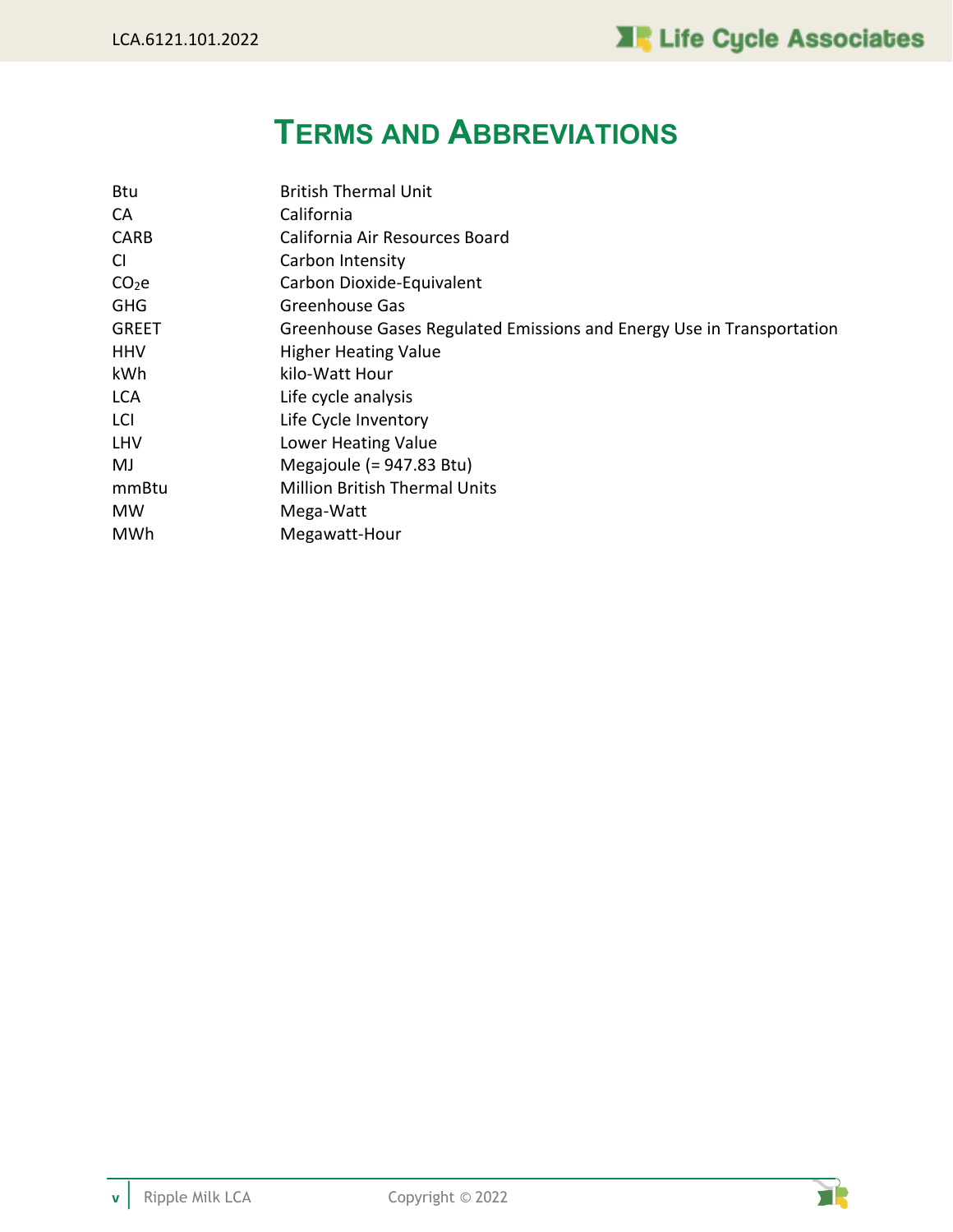# **TERMS AND ABBREVIATIONS**

| <b>Btu</b>        | <b>British Thermal Unit</b>                                           |
|-------------------|-----------------------------------------------------------------------|
| CA                | California                                                            |
| <b>CARB</b>       | California Air Resources Board                                        |
| CI                | Carbon Intensity                                                      |
| CO <sub>2</sub> e | Carbon Dioxide-Equivalent                                             |
| <b>GHG</b>        | Greenhouse Gas                                                        |
| <b>GREET</b>      | Greenhouse Gases Regulated Emissions and Energy Use in Transportation |
| <b>HHV</b>        | <b>Higher Heating Value</b>                                           |
| kWh               | kilo-Watt Hour                                                        |
| <b>LCA</b>        | Life cycle analysis                                                   |
| LCI               | Life Cycle Inventory                                                  |
| LHV               | Lower Heating Value                                                   |
| MJ                | Megajoule $(= 947.83 \text{ Btu})$                                    |
| mmBtu             | <b>Million British Thermal Units</b>                                  |
| MW                | Mega-Watt                                                             |
| MWh               | Megawatt-Hour                                                         |

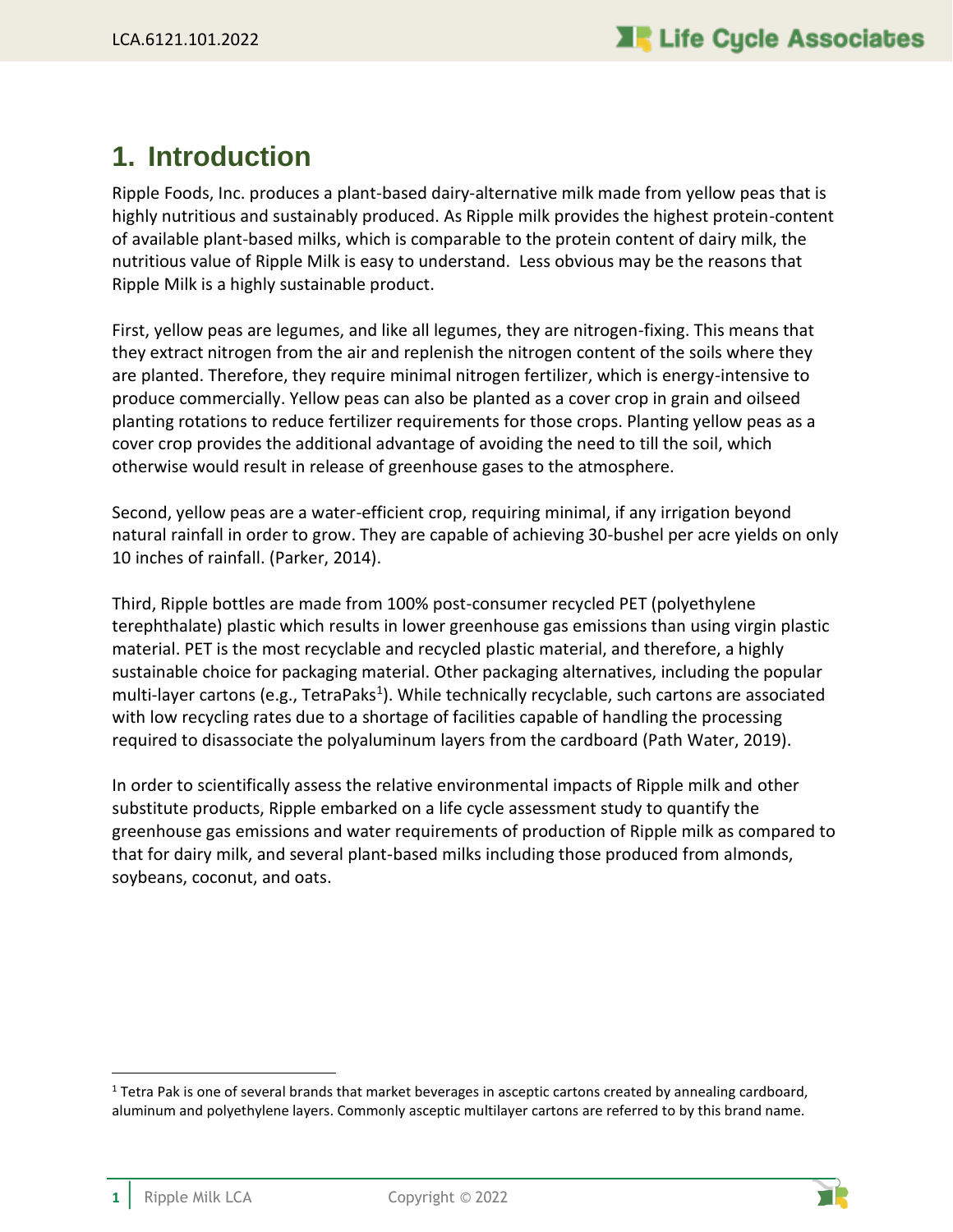## <span id="page-5-0"></span>**1. Introduction**

Ripple Foods, Inc. produces a plant-based dairy-alternative milk made from yellow peas that is highly nutritious and sustainably produced. As Ripple milk provides the highest protein-content of available plant-based milks, which is comparable to the protein content of dairy milk, the nutritious value of Ripple Milk is easy to understand. Less obvious may be the reasons that Ripple Milk is a highly sustainable product.

First, yellow peas are legumes, and like all legumes, they are nitrogen-fixing. This means that they extract nitrogen from the air and replenish the nitrogen content of the soils where they are planted. Therefore, they require minimal nitrogen fertilizer, which is energy-intensive to produce commercially. Yellow peas can also be planted as a cover crop in grain and oilseed planting rotations to reduce fertilizer requirements for those crops. Planting yellow peas as a cover crop provides the additional advantage of avoiding the need to till the soil, which otherwise would result in release of greenhouse gases to the atmosphere.

Second, yellow peas are a water-efficient crop, requiring minimal, if any irrigation beyond natural rainfall in order to grow. They are capable of achieving 30-bushel per acre yields on only 10 inches of rainfall. (Parker, 2014).

Third, Ripple bottles are made from 100% post-consumer recycled PET (polyethylene terephthalate) plastic which results in lower greenhouse gas emissions than using virgin plastic material. PET is the most recyclable and recycled plastic material, and therefore, a highly sustainable choice for packaging material. Other packaging alternatives, including the popular multi-layer cartons (e.g., TetraPaks<sup>1</sup>). While technically recyclable, such cartons are associated with low recycling rates due to a shortage of facilities capable of handling the processing required to disassociate the polyaluminum layers from the cardboard (Path Water, 2019).

In order to scientifically assess the relative environmental impacts of Ripple milk and other substitute products, Ripple embarked on a life cycle assessment study to quantify the greenhouse gas emissions and water requirements of production of Ripple milk as compared to that for dairy milk, and several plant-based milks including those produced from almonds, soybeans, coconut, and oats.



 $1$  Tetra Pak is one of several brands that market beverages in asceptic cartons created by annealing cardboard, aluminum and polyethylene layers. Commonly asceptic multilayer cartons are referred to by this brand name.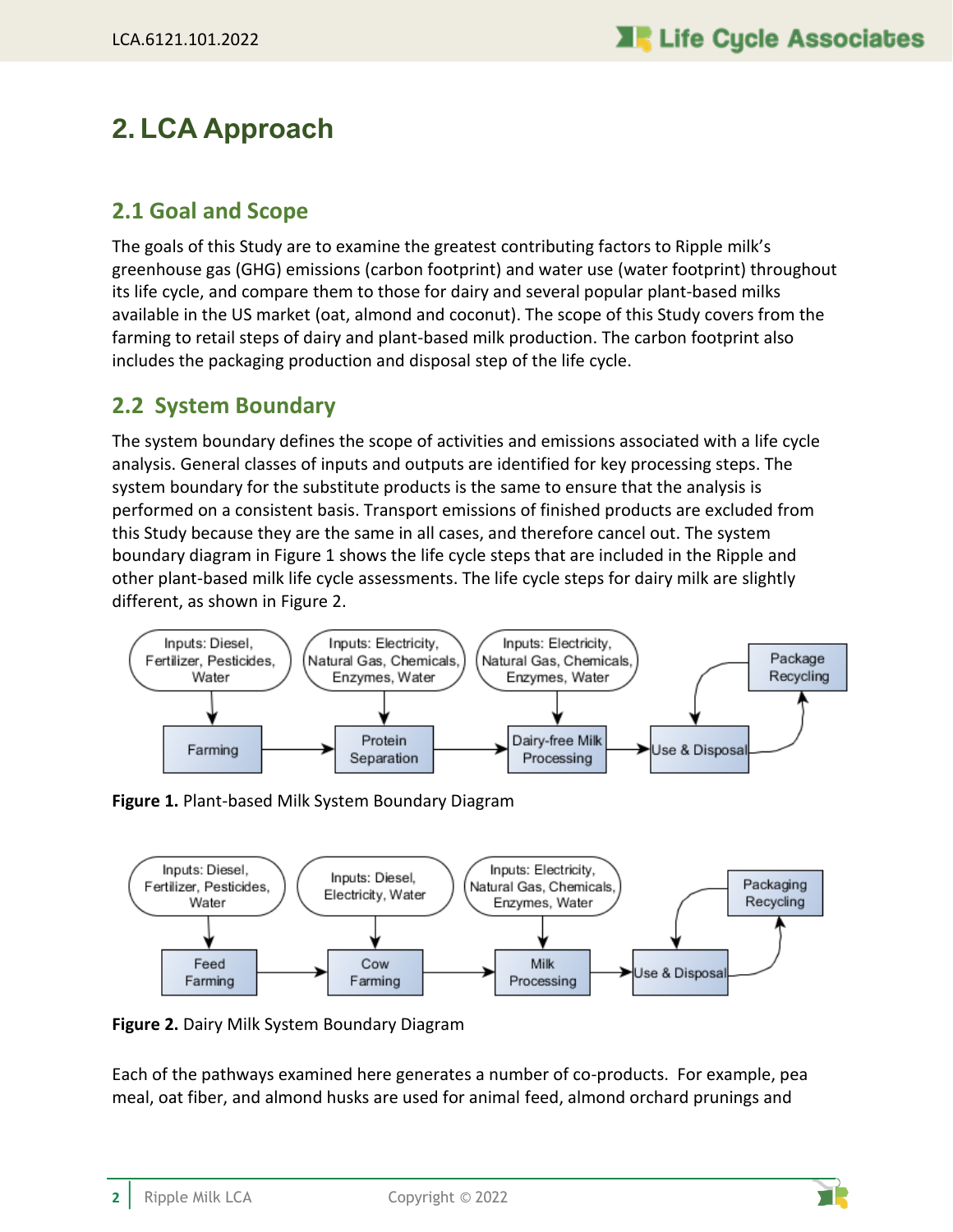## <span id="page-6-0"></span>**2. LCA Approach**

### <span id="page-6-1"></span>**2.1 Goal and Scope**

The goals of this Study are to examine the greatest contributing factors to Ripple milk's greenhouse gas (GHG) emissions (carbon footprint) and water use (water footprint) throughout its life cycle, and compare them to those for dairy and several popular plant-based milks available in the US market (oat, almond and coconut). The scope of this Study covers from the farming to retail steps of dairy and plant-based milk production. The carbon footprint also includes the packaging production and disposal step of the life cycle.

### <span id="page-6-2"></span>**2.2 System Boundary**

The system boundary defines the scope of activities and emissions associated with a life cycle analysis. General classes of inputs and outputs are identified for key processing steps. The system boundary for the substitute products is the same to ensure that the analysis is performed on a consistent basis. Transport emissions of finished products are excluded from this Study because they are the same in all cases, and therefore cancel out. The system boundary diagram in [Figure 1](#page-6-3) shows the life cycle steps that are included in the Ripple and other plant-based milk life cycle assessments. The life cycle steps for dairy milk are slightly different, as shown in [Figure 2.](#page-6-4)



<span id="page-6-3"></span>**Figure 1.** Plant-based Milk System Boundary Diagram



<span id="page-6-4"></span>**Figure 2.** Dairy Milk System Boundary Diagram

Each of the pathways examined here generates a number of co-products. For example, pea meal, oat fiber, and almond husks are used for animal feed, almond orchard prunings and

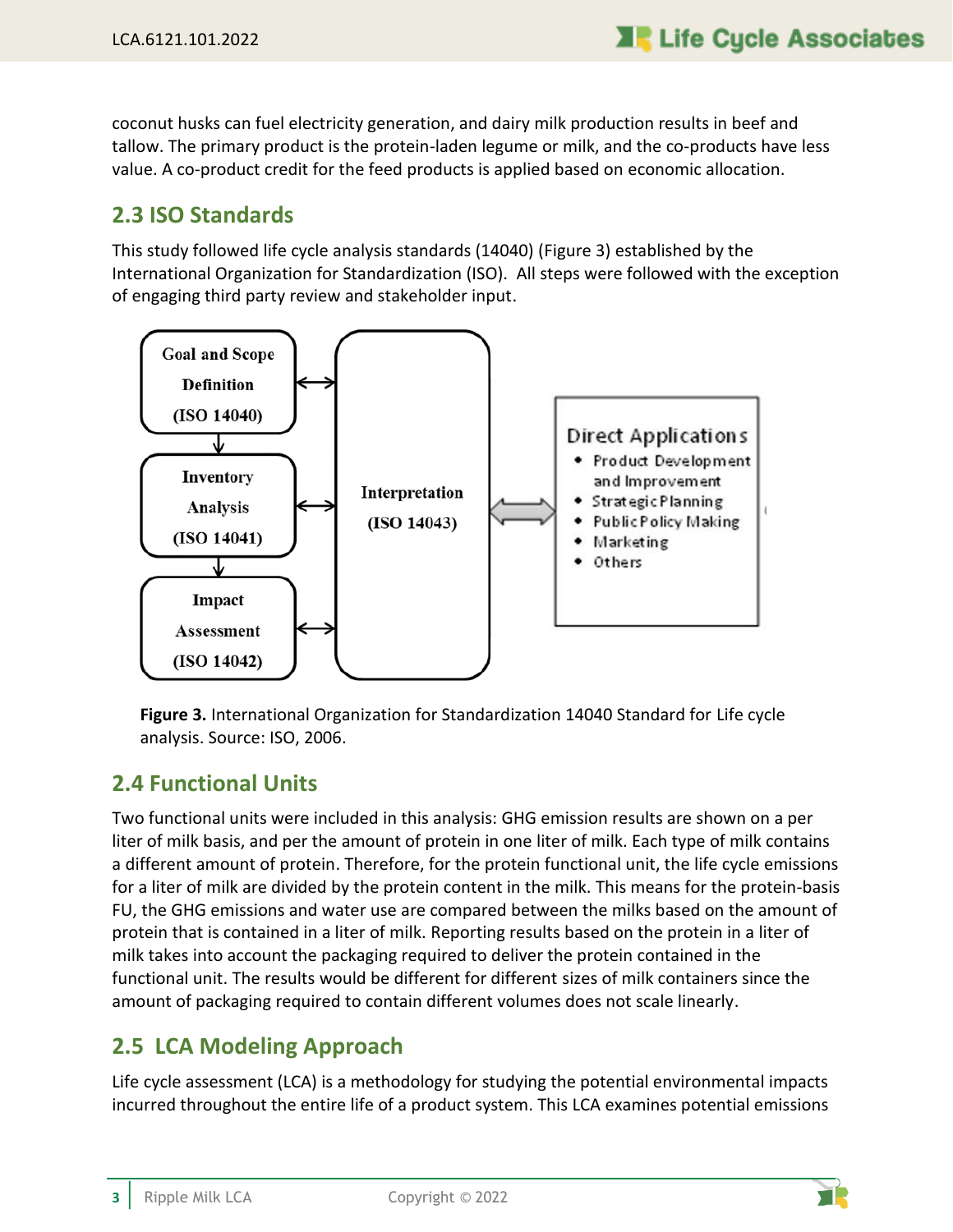coconut husks can fuel electricity generation, and dairy milk production results in beef and tallow. The primary product is the protein-laden legume or milk, and the co-products have less value. A co-product credit for the feed products is applied based on economic allocation.

### <span id="page-7-0"></span>**2.3 ISO Standards**

This study followed life cycle analysis standards (14040) [\(Figure 3\)](#page-7-3) established by the International Organization for Standardization (ISO). All steps were followed with the exception of engaging third party review and stakeholder input.



<span id="page-7-3"></span>**Figure 3.** International Organization for Standardization 14040 Standard for Life cycle analysis. Source: ISO, 2006.

### <span id="page-7-1"></span>**2.4 Functional Units**

Two functional units were included in this analysis: GHG emission results are shown on a per liter of milk basis, and per the amount of protein in one liter of milk. Each type of milk contains a different amount of protein. Therefore, for the protein functional unit, the life cycle emissions for a liter of milk are divided by the protein content in the milk. This means for the protein-basis FU, the GHG emissions and water use are compared between the milks based on the amount of protein that is contained in a liter of milk. Reporting results based on the protein in a liter of milk takes into account the packaging required to deliver the protein contained in the functional unit. The results would be different for different sizes of milk containers since the amount of packaging required to contain different volumes does not scale linearly.

### <span id="page-7-2"></span>**2.5 LCA Modeling Approach**

Life cycle assessment (LCA) is a methodology for studying the potential environmental impacts incurred throughout the entire life of a product system. This LCA examines potential emissions

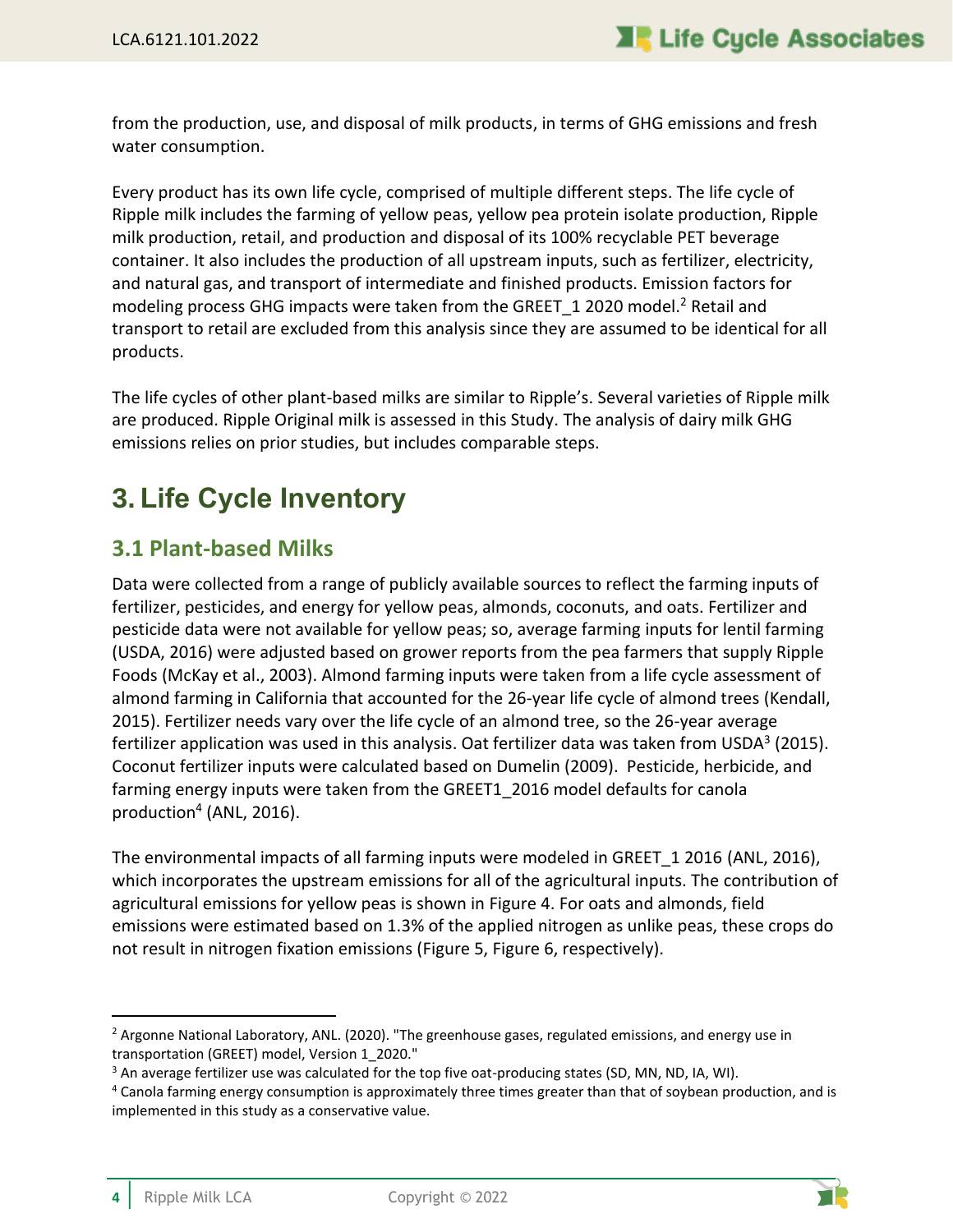from the production, use, and disposal of milk products, in terms of GHG emissions and fresh water consumption.

Every product has its own life cycle, comprised of multiple different steps. The life cycle of Ripple milk includes the farming of yellow peas, yellow pea protein isolate production, Ripple milk production, retail, and production and disposal of its 100% recyclable PET beverage container. It also includes the production of all upstream inputs, such as fertilizer, electricity, and natural gas, and transport of intermediate and finished products. Emission factors for modeling process GHG impacts were taken from the GREET 1 2020 model.<sup>2</sup> Retail and transport to retail are excluded from this analysis since they are assumed to be identical for all products.

The life cycles of other plant-based milks are similar to Ripple's. Several varieties of Ripple milk are produced. Ripple Original milk is assessed in this Study. The analysis of dairy milk GHG emissions relies on prior studies, but includes comparable steps.

## <span id="page-8-0"></span>**3. Life Cycle Inventory**

### <span id="page-8-1"></span>**3.1 Plant-based Milks**

Data were collected from a range of publicly available sources to reflect the farming inputs of fertilizer, pesticides, and energy for yellow peas, almonds, coconuts, and oats. Fertilizer and pesticide data were not available for yellow peas; so, average farming inputs for lentil farming (USDA, 2016) were adjusted based on grower reports from the pea farmers that supply Ripple Foods (McKay et al., 2003). Almond farming inputs were taken from a life cycle assessment of almond farming in California that accounted for the 26-year life cycle of almond trees (Kendall, 2015). Fertilizer needs vary over the life cycle of an almond tree, so the 26-year average fertilizer application was used in this analysis. Oat fertilizer data was taken from USDA<sup>3</sup> (2015). Coconut fertilizer inputs were calculated based on Dumelin (2009). Pesticide, herbicide, and farming energy inputs were taken from the GREET1 2016 model defaults for canola production<sup>4</sup> (ANL, 2016).

The environmental impacts of all farming inputs were modeled in GREET\_1 2016 (ANL, 2016), which incorporates the upstream emissions for all of the agricultural inputs. The contribution of agricultural emissions for yellow peas is shown in [Figure 4.](#page-9-0) For oats and almonds, field emissions were estimated based on 1.3% of the applied nitrogen as unlike peas, these crops do not result in nitrogen fixation emissions [\(Figure 5,](#page-9-1) [Figure 6,](#page-10-0) respectively).



 $<sup>2</sup>$  Argonne National Laboratory, ANL. (2020). "The greenhouse gases, regulated emissions, and energy use in</sup> transportation (GREET) model, Version 1\_2020."

<sup>&</sup>lt;sup>3</sup> An average fertilizer use was calculated for the top five oat-producing states (SD, MN, ND, IA, WI).

<sup>4</sup> Canola farming energy consumption is approximately three times greater than that of soybean production, and is implemented in this study as a conservative value.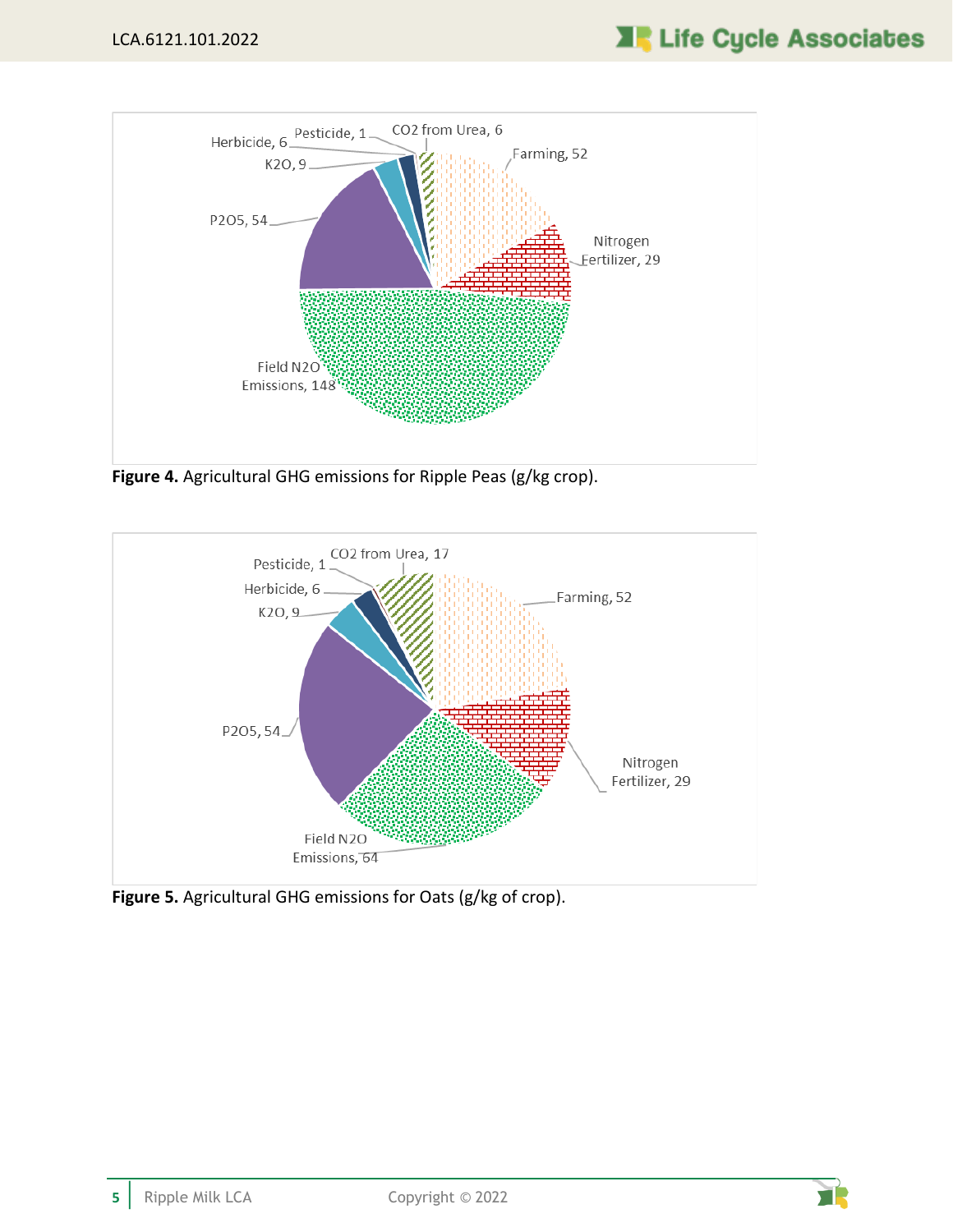

<span id="page-9-0"></span>**Figure 4.** Agricultural GHG emissions for Ripple Peas (g/kg crop).



<span id="page-9-1"></span>**Figure 5.** Agricultural GHG emissions for Oats (g/kg of crop).

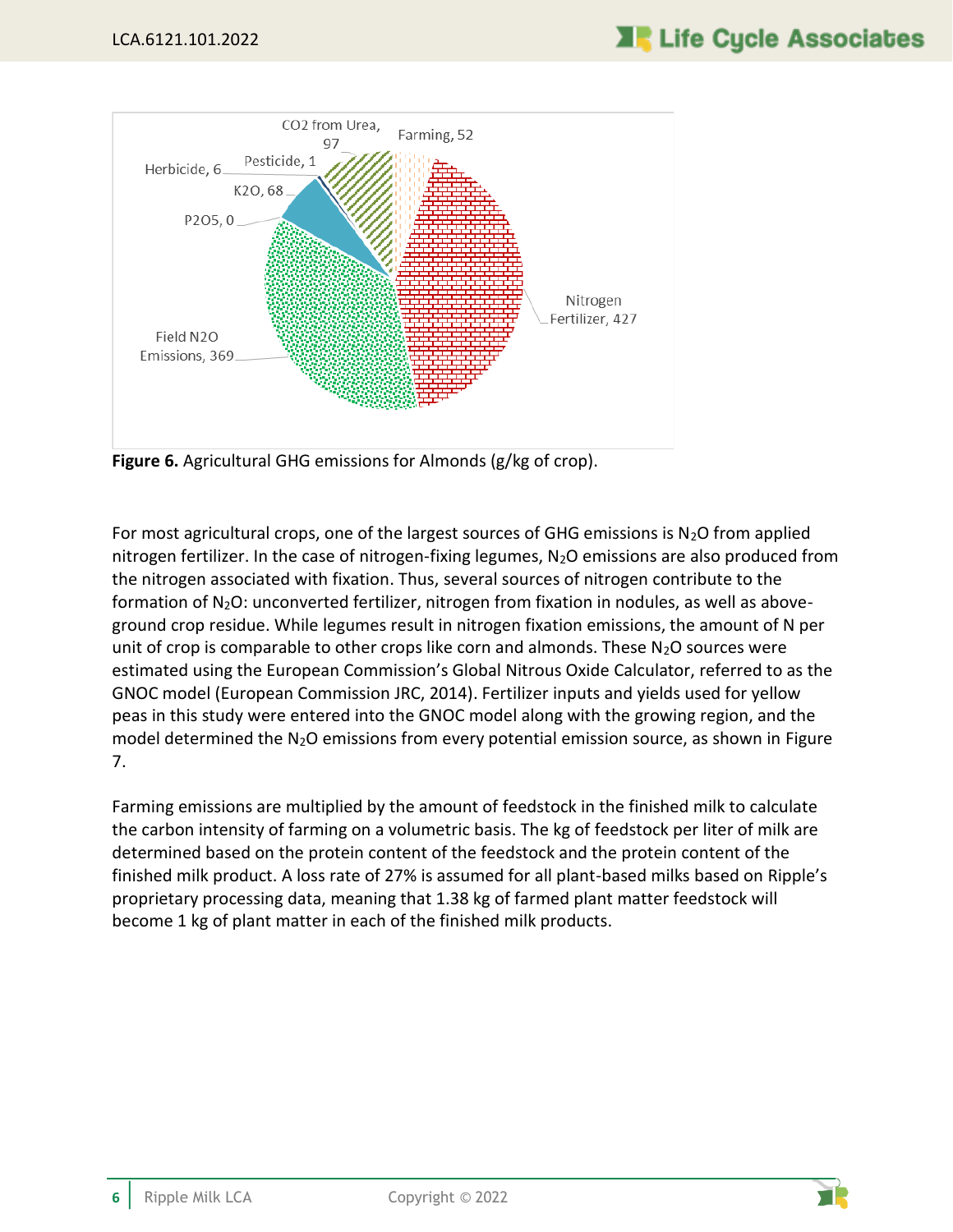

<span id="page-10-0"></span>**Figure 6.** Agricultural GHG emissions for Almonds (g/kg of crop).

For most agricultural crops, one of the largest sources of GHG emissions is  $N_2O$  from applied nitrogen fertilizer. In the case of nitrogen-fixing legumes, N<sub>2</sub>O emissions are also produced from the nitrogen associated with fixation. Thus, several sources of nitrogen contribute to the formation of  $N_2O$ : unconverted fertilizer, nitrogen from fixation in nodules, as well as aboveground crop residue. While legumes result in nitrogen fixation emissions, the amount of N per unit of crop is comparable to other crops like corn and almonds. These  $N_2O$  sources were estimated using the European Commission's Global Nitrous Oxide Calculator, referred to as the GNOC model (European Commission JRC, 2014). Fertilizer inputs and yields used for yellow peas in this study were entered into the GNOC model along with the growing region, and the model determined the  $N_2O$  emissions from every potential emission source, as shown in Figure [7.](#page-11-0)

Farming emissions are multiplied by the amount of feedstock in the finished milk to calculate the carbon intensity of farming on a volumetric basis. The kg of feedstock per liter of milk are determined based on the protein content of the feedstock and the protein content of the finished milk product. A loss rate of 27% is assumed for all plant-based milks based on Ripple's proprietary processing data, meaning that 1.38 kg of farmed plant matter feedstock will become 1 kg of plant matter in each of the finished milk products.

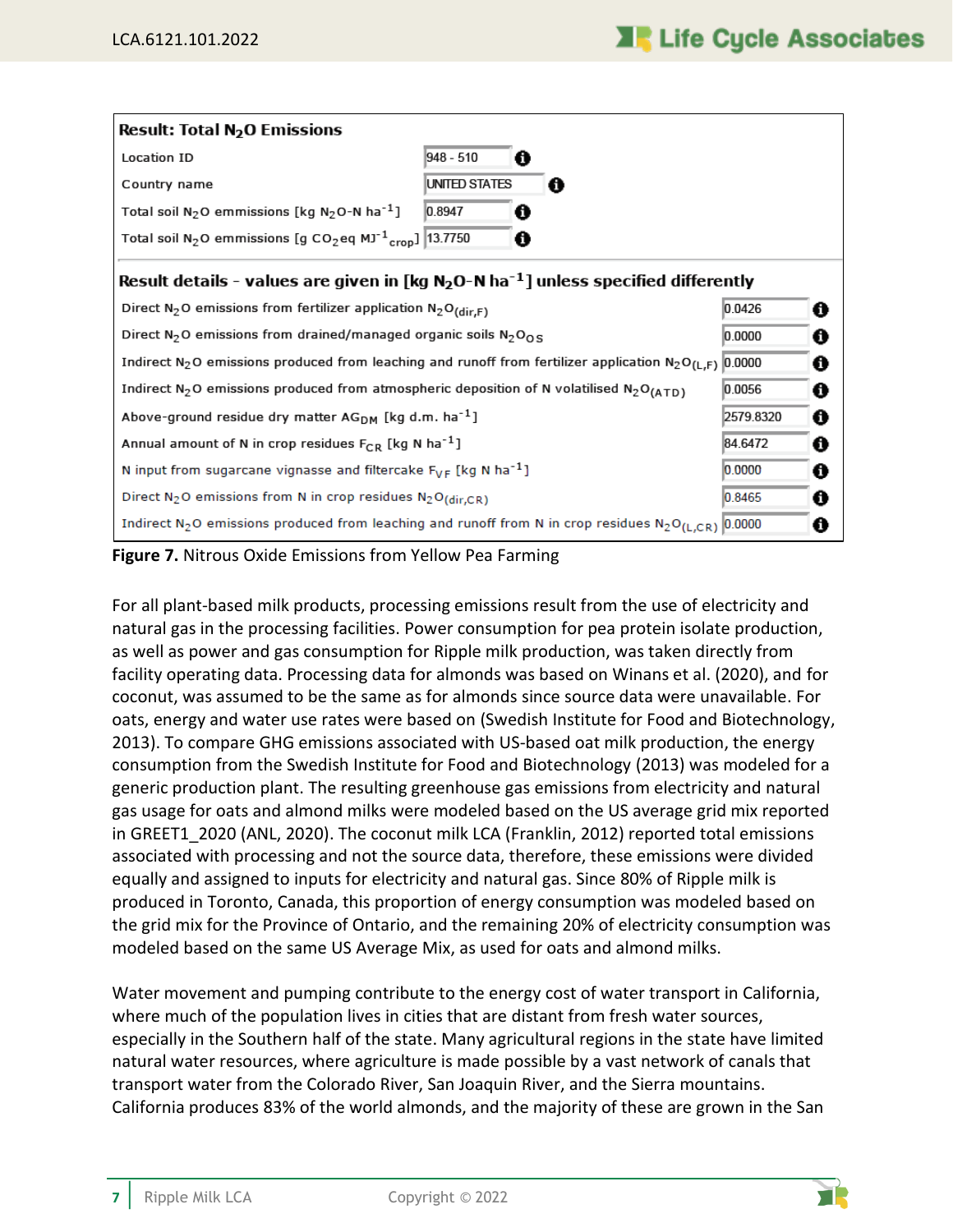| <b>Result: Total N<sub>2</sub>O Emissions</b>                                                                                                |                                                                                                   |    |  |  |  |  |
|----------------------------------------------------------------------------------------------------------------------------------------------|---------------------------------------------------------------------------------------------------|----|--|--|--|--|
| Location ID                                                                                                                                  | 948 - 510                                                                                         |    |  |  |  |  |
| Country name                                                                                                                                 | <b>UNITED STATES</b><br>o                                                                         |    |  |  |  |  |
| Total soil $N_2$ O emmissions [kg $N_2$ O-N ha <sup>-1</sup> ]                                                                               | 0.8947<br>A                                                                                       |    |  |  |  |  |
| Total soil N <sub>2</sub> O emmissions [g CO <sub>2</sub> eq MJ <sup>-1</sup> <sub>crop</sub> ] $ 13.7750 $                                  | a                                                                                                 |    |  |  |  |  |
|                                                                                                                                              | Result details - values are given in [kg $N_2O-N$ ha <sup>-1</sup> ] unless specified differently |    |  |  |  |  |
|                                                                                                                                              | Direct $N_2O$ emissions from fertilizer application $N_2O_{\text{(dir,F)}}$<br>0.0426<br>0        |    |  |  |  |  |
| Direct N <sub>2</sub> O emissions from drained/managed organic soils N <sub>2</sub> O <sub>OS</sub><br>0.0000<br>€                           |                                                                                                   |    |  |  |  |  |
| Indirect N <sub>2</sub> O emissions produced from leaching and runoff from fertilizer application N <sub>2</sub> O <sub>(L,F)</sub> 0.0000   |                                                                                                   | 0  |  |  |  |  |
| Indirect N <sub>2</sub> O emissions produced from atmospheric deposition of N volatilised N <sub>2</sub> O <sub>(ATD)</sub><br>0.0056        |                                                                                                   |    |  |  |  |  |
| Above-ground residue dry matter $AG_{DM}$ [kg d.m. ha <sup>-1</sup> ]<br>2579.8320<br>0                                                      |                                                                                                   |    |  |  |  |  |
| Annual amount of N in crop residues $F_{CR}$ [kg N ha <sup>-1</sup> ]<br>84.6472<br>Ô                                                        |                                                                                                   |    |  |  |  |  |
| N input from sugarcane vignasse and filtercake $F_{VF}$ [kg N ha <sup>-1</sup> ]                                                             | 0.0000                                                                                            | o  |  |  |  |  |
| Direct N <sub>2</sub> O emissions from N in crop residues N <sub>2</sub> O(dir,CR)                                                           | 0.8465                                                                                            | 61 |  |  |  |  |
| Indirect N <sub>2</sub> O emissions produced from leaching and runoff from N in crop residues N <sub>2</sub> O <sub>(L,CR)</sub> 0.0000<br>O |                                                                                                   |    |  |  |  |  |

<span id="page-11-0"></span>**Figure 7.** Nitrous Oxide Emissions from Yellow Pea Farming

For all plant-based milk products, processing emissions result from the use of electricity and natural gas in the processing facilities. Power consumption for pea protein isolate production, as well as power and gas consumption for Ripple milk production, was taken directly from facility operating data. Processing data for almonds was based on Winans et al. (2020), and for coconut, was assumed to be the same as for almonds since source data were unavailable. For oats, energy and water use rates were based on (Swedish Institute for Food and Biotechnology, 2013). To compare GHG emissions associated with US-based oat milk production, the energy consumption from the Swedish Institute for Food and Biotechnology (2013) was modeled for a generic production plant. The resulting greenhouse gas emissions from electricity and natural gas usage for oats and almond milks were modeled based on the US average grid mix reported in GREET1\_2020 (ANL, 2020). The coconut milk LCA (Franklin, 2012) reported total emissions associated with processing and not the source data, therefore, these emissions were divided equally and assigned to inputs for electricity and natural gas. Since 80% of Ripple milk is produced in Toronto, Canada, this proportion of energy consumption was modeled based on the grid mix for the Province of Ontario, and the remaining 20% of electricity consumption was modeled based on the same US Average Mix, as used for oats and almond milks.

Water movement and pumping contribute to the energy cost of water transport in California, where much of the population lives in cities that are distant from fresh water sources, especially in the Southern half of the state. Many agricultural regions in the state have limited natural water resources, where agriculture is made possible by a vast network of canals that transport water from the Colorado River, San Joaquin River, and the Sierra mountains. California produces 83% of the world almonds, and the majority of these are grown in the San

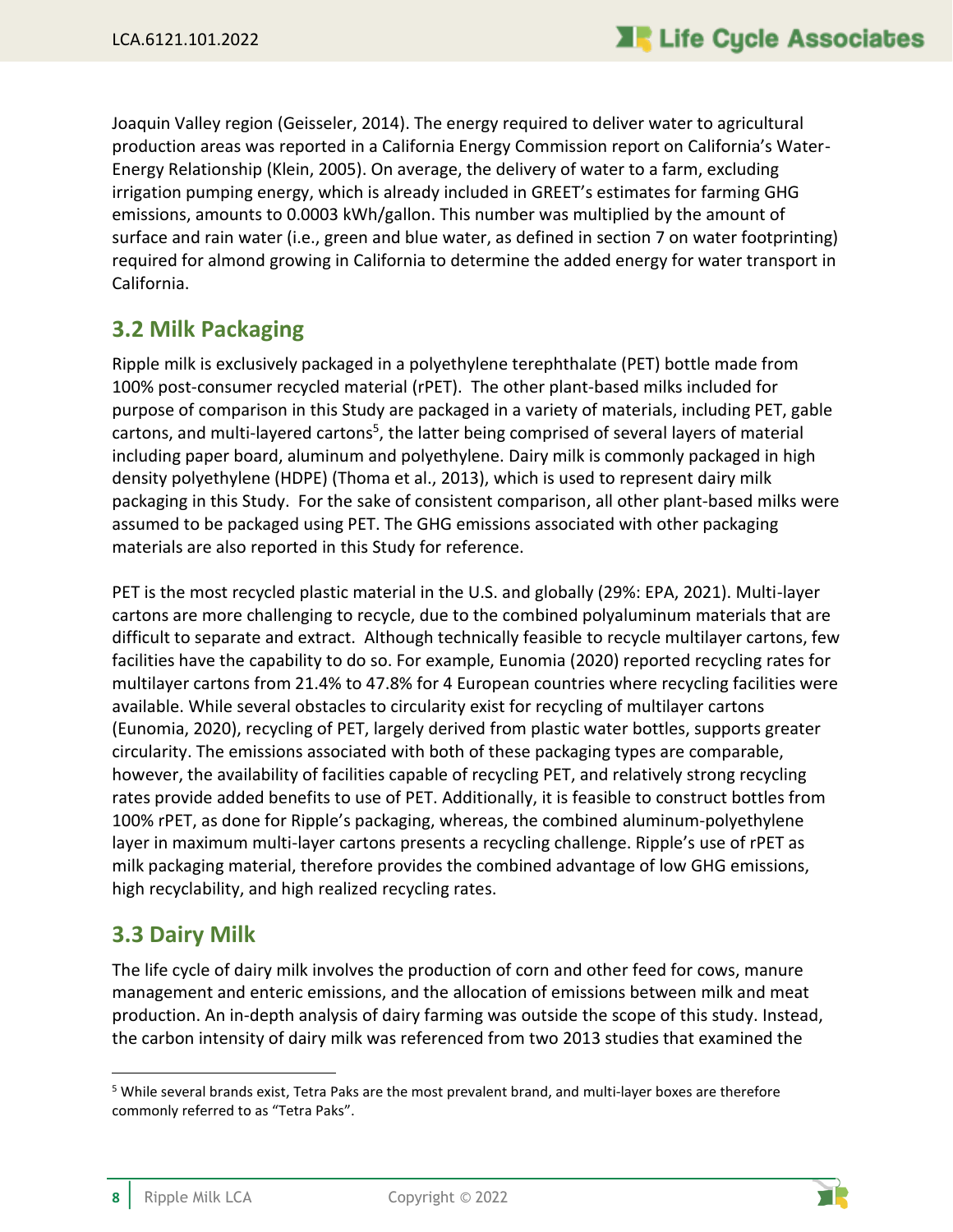Joaquin Valley region (Geisseler, 2014). The energy required to deliver water to agricultural production areas was reported in a California Energy Commission report on California's Water-Energy Relationship (Klein, 2005). On average, the delivery of water to a farm, excluding irrigation pumping energy, which is already included in GREET's estimates for farming GHG emissions, amounts to 0.0003 kWh/gallon. This number was multiplied by the amount of surface and rain water (i.e., green and blue water, as defined in section 7 on water footprinting) required for almond growing in California to determine the added energy for water transport in California.

#### <span id="page-12-0"></span>**3.2 Milk Packaging**

Ripple milk is exclusively packaged in a polyethylene terephthalate (PET) bottle made from 100% post-consumer recycled material (rPET). The other plant-based milks included for purpose of comparison in this Study are packaged in a variety of materials, including PET, gable cartons, and multi-layered cartons<sup>5</sup>, the latter being comprised of several layers of material including paper board, aluminum and polyethylene. Dairy milk is commonly packaged in high density polyethylene (HDPE) (Thoma et al., 2013), which is used to represent dairy milk packaging in this Study. For the sake of consistent comparison, all other plant-based milks were assumed to be packaged using PET. The GHG emissions associated with other packaging materials are also reported in this Study for reference.

PET is the most recycled plastic material in the U.S. and globally (29%: EPA, 2021). Multi-layer cartons are more challenging to recycle, due to the combined polyaluminum materials that are difficult to separate and extract. Although technically feasible to recycle multilayer cartons, few facilities have the capability to do so. For example, Eunomia (2020) reported recycling rates for multilayer cartons from 21.4% to 47.8% for 4 European countries where recycling facilities were available. While several obstacles to circularity exist for recycling of multilayer cartons (Eunomia, 2020), recycling of PET, largely derived from plastic water bottles, supports greater circularity. The emissions associated with both of these packaging types are comparable, however, the availability of facilities capable of recycling PET, and relatively strong recycling rates provide added benefits to use of PET. Additionally, it is feasible to construct bottles from 100% rPET, as done for Ripple's packaging, whereas, the combined aluminum-polyethylene layer in maximum multi-layer cartons presents a recycling challenge. Ripple's use of rPET as milk packaging material, therefore provides the combined advantage of low GHG emissions, high recyclability, and high realized recycling rates.

### <span id="page-12-1"></span>**3.3 Dairy Milk**

The life cycle of dairy milk involves the production of corn and other feed for cows, manure management and enteric emissions, and the allocation of emissions between milk and meat production. An in-depth analysis of dairy farming was outside the scope of this study. Instead, the carbon intensity of dairy milk was referenced from two 2013 studies that examined the



<sup>5</sup> While several brands exist, Tetra Paks are the most prevalent brand, and multi-layer boxes are therefore commonly referred to as "Tetra Paks".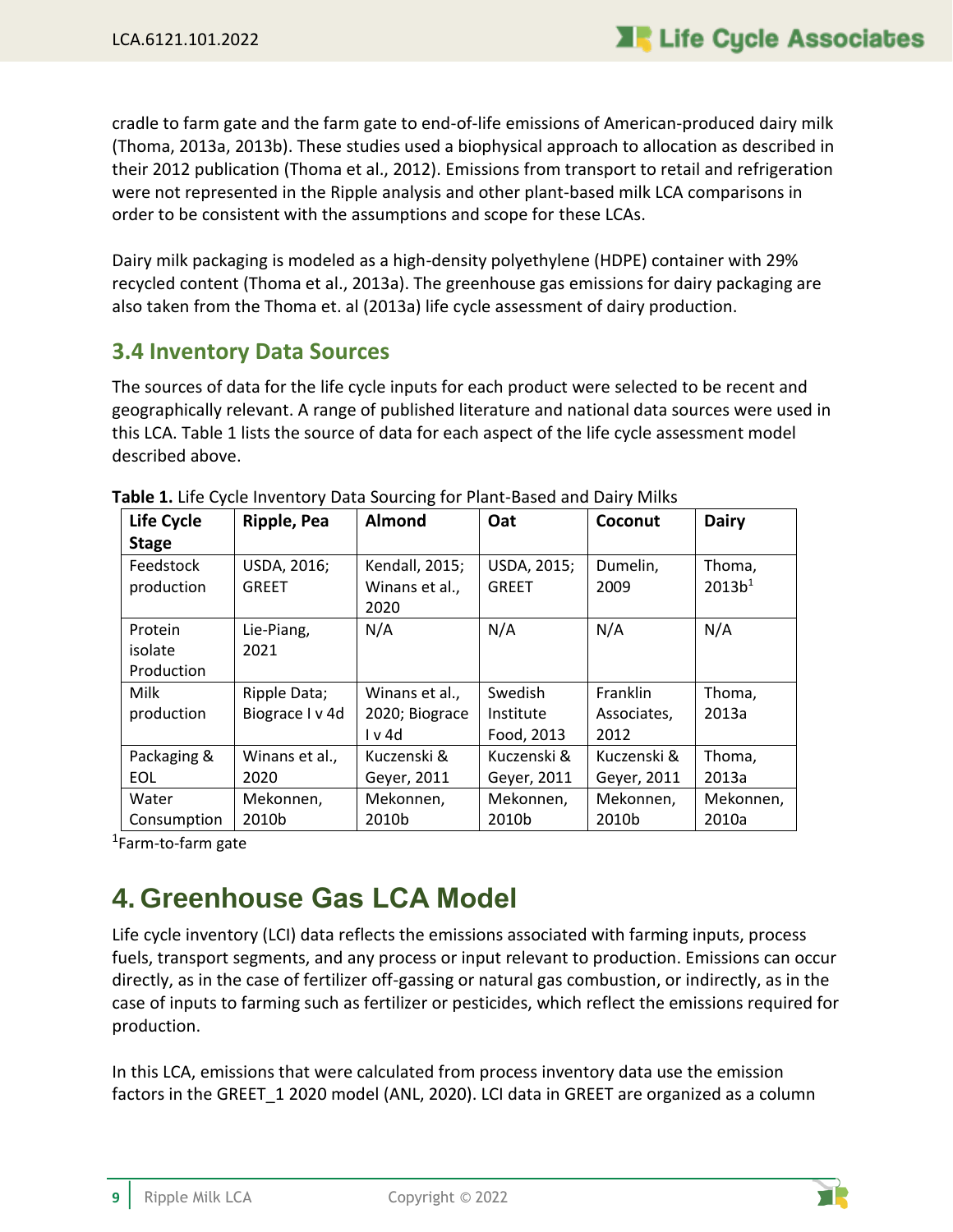cradle to farm gate and the farm gate to end-of-life emissions of American-produced dairy milk (Thoma, 2013a, 2013b). These studies used a biophysical approach to allocation as described in their 2012 publication (Thoma et al., 2012). Emissions from transport to retail and refrigeration were not represented in the Ripple analysis and other plant-based milk LCA comparisons in order to be consistent with the assumptions and scope for these LCAs.

Dairy milk packaging is modeled as a high-density polyethylene (HDPE) container with 29% recycled content (Thoma et al., 2013a). The greenhouse gas emissions for dairy packaging are also taken from the Thoma et. al (2013a) life cycle assessment of dairy production.

#### <span id="page-13-0"></span>**3.4 Inventory Data Sources**

The sources of data for the life cycle inputs for each product were selected to be recent and geographically relevant. A range of published literature and national data sources were used in this LCA. [Table 1](#page-13-2) lists the source of data for each aspect of the life cycle assessment model described above.

| Life Cycle   | Ripple, Pea     | <b>Almond</b>  | Oat          | Coconut     | <b>Dairy</b>       |
|--------------|-----------------|----------------|--------------|-------------|--------------------|
| <b>Stage</b> |                 |                |              |             |                    |
| Feedstock    | USDA, 2016;     | Kendall, 2015; | USDA, 2015;  | Dumelin,    | Thoma,             |
| production   | <b>GREET</b>    | Winans et al., | <b>GREET</b> | 2009        | 2013b <sup>1</sup> |
|              |                 | 2020           |              |             |                    |
| Protein      | Lie-Piang,      | N/A            | N/A          | N/A         | N/A                |
| isolate      | 2021            |                |              |             |                    |
| Production   |                 |                |              |             |                    |
| Milk         | Ripple Data;    | Winans et al., | Swedish      | Franklin    | Thoma,             |
| production   | Biograce I v 4d | 2020; Biograce | Institute    | Associates, | 2013a              |
|              |                 | I v 4d         | Food, 2013   | 2012        |                    |
| Packaging &  | Winans et al.,  | Kuczenski &    | Kuczenski &  | Kuczenski & | Thoma,             |
| <b>EOL</b>   | 2020            | Geyer, 2011    | Geyer, 2011  | Geyer, 2011 | 2013a              |
| Water        | Mekonnen,       | Mekonnen,      | Mekonnen,    | Mekonnen,   | Mekonnen,          |
| Consumption  | 2010b           | 2010b          | 2010b        | 2010b       | 2010a              |

<span id="page-13-2"></span>

<span id="page-13-1"></span><sup>1</sup>Farm-to-farm gate

## **4. Greenhouse Gas LCA Model**

Life cycle inventory (LCI) data reflects the emissions associated with farming inputs, process fuels, transport segments, and any process or input relevant to production. Emissions can occur directly, as in the case of fertilizer off-gassing or natural gas combustion, or indirectly, as in the case of inputs to farming such as fertilizer or pesticides, which reflect the emissions required for production.

In this LCA, emissions that were calculated from process inventory data use the emission factors in the GREET\_1 2020 model (ANL, 2020). LCI data in GREET are organized as a column

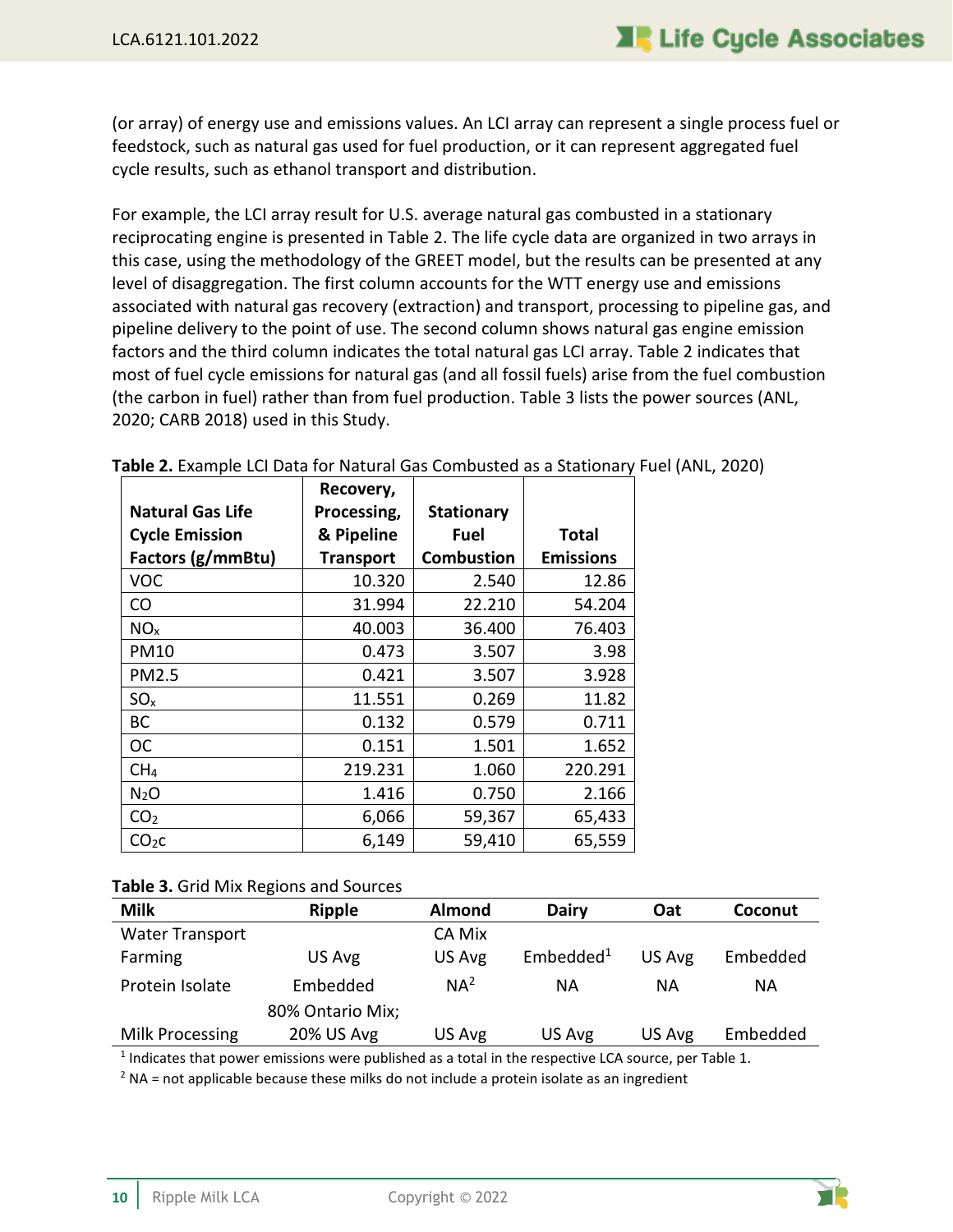(or array) of energy use and emissions values. An LCI array can represent a single process fuel or feedstock, such as natural gas used for fuel production, or it can represent aggregated fuel cycle results, such as ethanol transport and distribution.

For example, the LCI array result for U.S. average natural gas combusted in a stationary reciprocating engine is presented in [Table 2.](#page-14-0) The life cycle data are organized in two arrays in this case, using the methodology of the GREET model, but the results can be presented at any level of disaggregation. The first column accounts for the WTT energy use and emissions associated with natural gas recovery (extraction) and transport, processing to pipeline gas, and pipeline delivery to the point of use. The second column shows natural gas engine emission factors and the third column indicates the total natural gas LCI array[. Table 2](#page-14-0) indicates that most of fuel cycle emissions for natural gas (and all fossil fuels) arise from the fuel combustion (the carbon in fuel) rather than from fuel production. [Table 3](#page-14-1) lists the power sources (ANL, 2020; CARB 2018) used in this Study.

|                         | Recovery,        |                   |                  |  |
|-------------------------|------------------|-------------------|------------------|--|
| <b>Natural Gas Life</b> | Processing,      | <b>Stationary</b> |                  |  |
| <b>Cycle Emission</b>   | & Pipeline       | Fuel              | Total            |  |
| Factors (g/mmBtu)       | <b>Transport</b> | <b>Combustion</b> | <b>Emissions</b> |  |
| <b>VOC</b>              | 10.320           | 2.540             | 12.86            |  |
| CO                      | 31.994           | 22.210            | 54.204           |  |
| NO <sub>x</sub>         | 40.003           | 36.400            | 76.403           |  |
| <b>PM10</b>             | 0.473            | 3.507             | 3.98             |  |
| PM2.5                   | 0.421            | 3.507             | 3.928            |  |
| SO <sub>x</sub>         | 11.551           | 0.269             | 11.82            |  |
| ВC                      | 0.132            | 0.579             | 0.711            |  |
| <b>OC</b>               | 0.151            | 1.501             | 1.652            |  |
| CH <sub>4</sub>         | 219.231          | 1.060             | 220.291          |  |
| N <sub>2</sub> O        | 1.416            | 0.750             | 2.166            |  |
| CO <sub>2</sub>         | 6,066            | 59,367            | 65,433           |  |
| CO <sub>2</sub> C       | 6,149            | 59,410            | 65,559           |  |

<span id="page-14-0"></span>**Table 2.** Example LCI Data for Natural Gas Combusted as a Stationary Fuel (ANL, 2020)

#### <span id="page-14-1"></span>**Table 3.** Grid Mix Regions and Sources

| <b>Milk</b>            | <b>Ripple</b>    | <b>Almond</b>   | <b>Dairy</b>          | Oat    | Coconut  |
|------------------------|------------------|-----------------|-----------------------|--------|----------|
| <b>Water Transport</b> |                  | CA Mix          |                       |        |          |
| Farming                | US Avg           | US Avg          | Embedded <sup>1</sup> | US Avg | Embedded |
| Protein Isolate        | Embedded         | NA <sup>2</sup> | ΝA                    | ΝA     | ΝA       |
|                        | 80% Ontario Mix; |                 |                       |        |          |
| Milk Processing        | 20% US Avg       | US Avg          | US Avg                | US Avg | Embedded |
|                        |                  |                 |                       |        |          |

 $<sup>1</sup>$  Indicates that power emissions were published as a total in the respective LCA source, per Table 1.</sup>

 $2$  NA = not applicable because these milks do not include a protein isolate as an ingredient

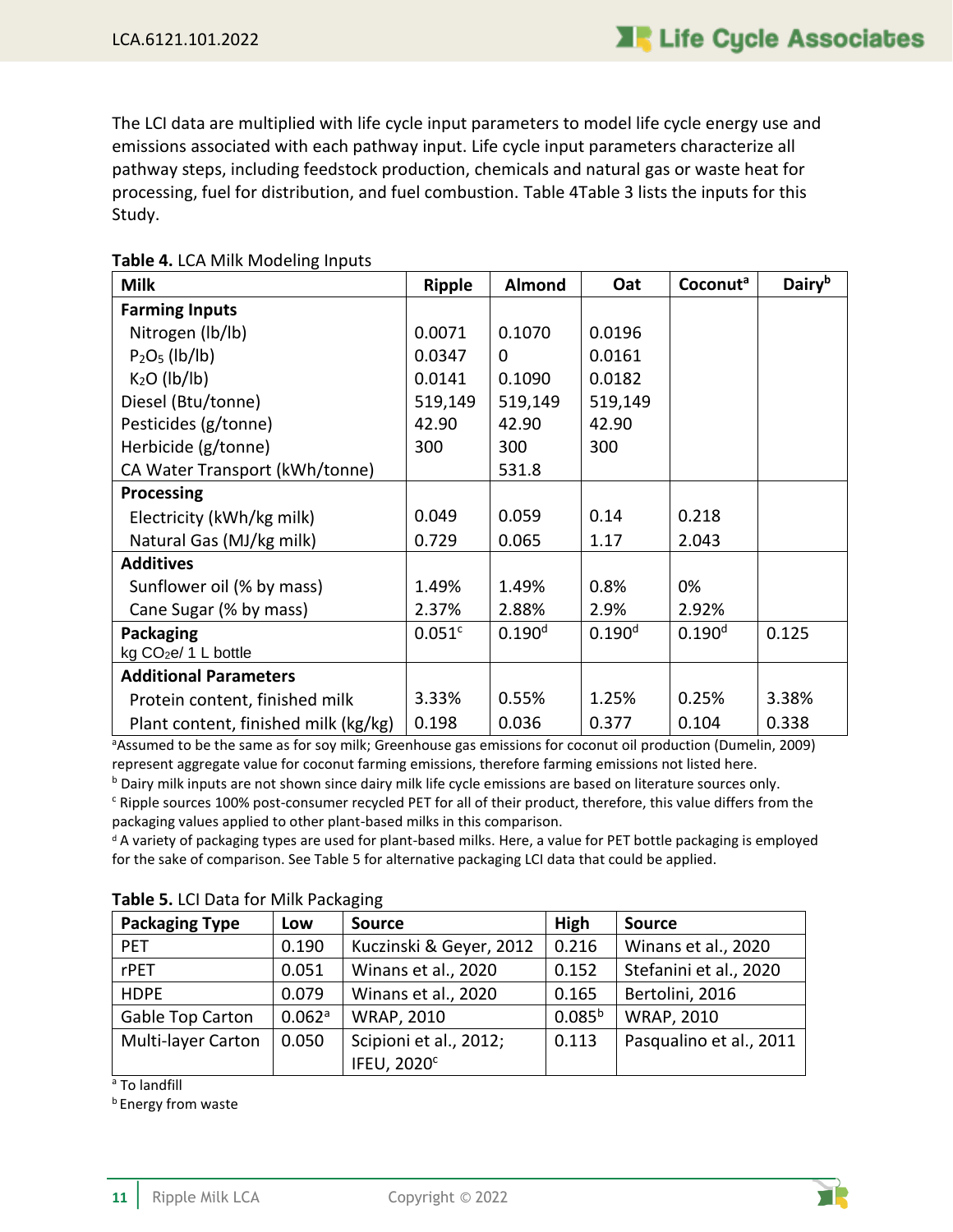The LCI data are multiplied with life cycle input parameters to model life cycle energy use and emissions associated with each pathway input. Life cycle input parameters characterize all pathway steps, including feedstock production, chemicals and natural gas or waste heat for processing, fuel for distribution, and fuel combustion. [Table 4](#page-15-0)[Table 3](#page-14-1) lists the inputs for this Study.

| <b>Milk</b>                          | <b>Ripple</b>      | Almond             | Oat                | Coconut <sup>a</sup> | Dairyb |
|--------------------------------------|--------------------|--------------------|--------------------|----------------------|--------|
| <b>Farming Inputs</b>                |                    |                    |                    |                      |        |
| Nitrogen (lb/lb)                     | 0.0071             | 0.1070             | 0.0196             |                      |        |
| $P2O5$ (lb/lb)                       | 0.0347             | $\Omega$           | 0.0161             |                      |        |
| $K2O$ (lb/lb)                        | 0.0141             | 0.1090             | 0.0182             |                      |        |
| Diesel (Btu/tonne)                   | 519,149            | 519,149            | 519,149            |                      |        |
| Pesticides (g/tonne)                 | 42.90              | 42.90              | 42.90              |                      |        |
| Herbicide (g/tonne)                  | 300                | 300                | 300                |                      |        |
| CA Water Transport (kWh/tonne)       |                    | 531.8              |                    |                      |        |
| <b>Processing</b>                    |                    |                    |                    |                      |        |
| Electricity (kWh/kg milk)            | 0.049              | 0.059              | 0.14               | 0.218                |        |
| Natural Gas (MJ/kg milk)             | 0.729              | 0.065              | 1.17               | 2.043                |        |
| <b>Additives</b>                     |                    |                    |                    |                      |        |
| Sunflower oil (% by mass)            | 1.49%              | 1.49%              | 0.8%               | 0%                   |        |
| Cane Sugar (% by mass)               | 2.37%              | 2.88%              | 2.9%               | 2.92%                |        |
| Packaging                            | 0.051 <sup>c</sup> | 0.190 <sup>d</sup> | 0.190 <sup>d</sup> | $0.190^{d}$          | 0.125  |
| kg CO <sub>2</sub> e/ 1 L bottle     |                    |                    |                    |                      |        |
| <b>Additional Parameters</b>         |                    |                    |                    |                      |        |
| Protein content, finished milk       | 3.33%              | 0.55%              | 1.25%              | 0.25%                | 3.38%  |
| Plant content, finished milk (kg/kg) | 0.198              | 0.036              | 0.377              | 0.104                | 0.338  |

#### <span id="page-15-0"></span>**Table 4.** LCA Milk Modeling Inputs

aAssumed to be the same as for soy milk; Greenhouse gas emissions for coconut oil production (Dumelin, 2009) represent aggregate value for coconut farming emissions, therefore farming emissions not listed here.

<sup>b</sup> Dairy milk inputs are not shown since dairy milk life cycle emissions are based on literature sources only. <sup>c</sup> Ripple sources 100% post-consumer recycled PET for all of their product, therefore, this value differs from the

packaging values applied to other plant-based milks in this comparison.

<sup>d</sup> A variety of packaging types are used for plant-based milks. Here, a value for PET bottle packaging is employed for the sake of comparison. See Table 5 for alternative packaging LCI data that could be applied.

| <b>Packaging Type</b> | Low    | <b>Source</b>                 | High        | <b>Source</b>           |
|-----------------------|--------|-------------------------------|-------------|-------------------------|
| <b>PET</b>            | 0.190  | Kuczinski & Geyer, 2012       | 0.216       | Winans et al., 2020     |
| rPET                  | 0.051  | Winans et al., 2020           | 0.152       | Stefanini et al., 2020  |
| <b>HDPE</b>           | 0.079  | Winans et al., 2020           | 0.165       | Bertolini, 2016         |
| Gable Top Carton      | 0.062a | <b>WRAP, 2010</b>             | $0.085^{b}$ | <b>WRAP, 2010</b>       |
| Multi-layer Carton    | 0.050  | Scipioni et al., 2012;        | 0.113       | Pasqualino et al., 2011 |
|                       |        | <b>IFEU, 2020<sup>c</sup></b> |             |                         |

#### <span id="page-15-1"></span>**Table 5.** LCI Data for Milk Packaging

<sup>a</sup> To landfill

**b** Energy from waste

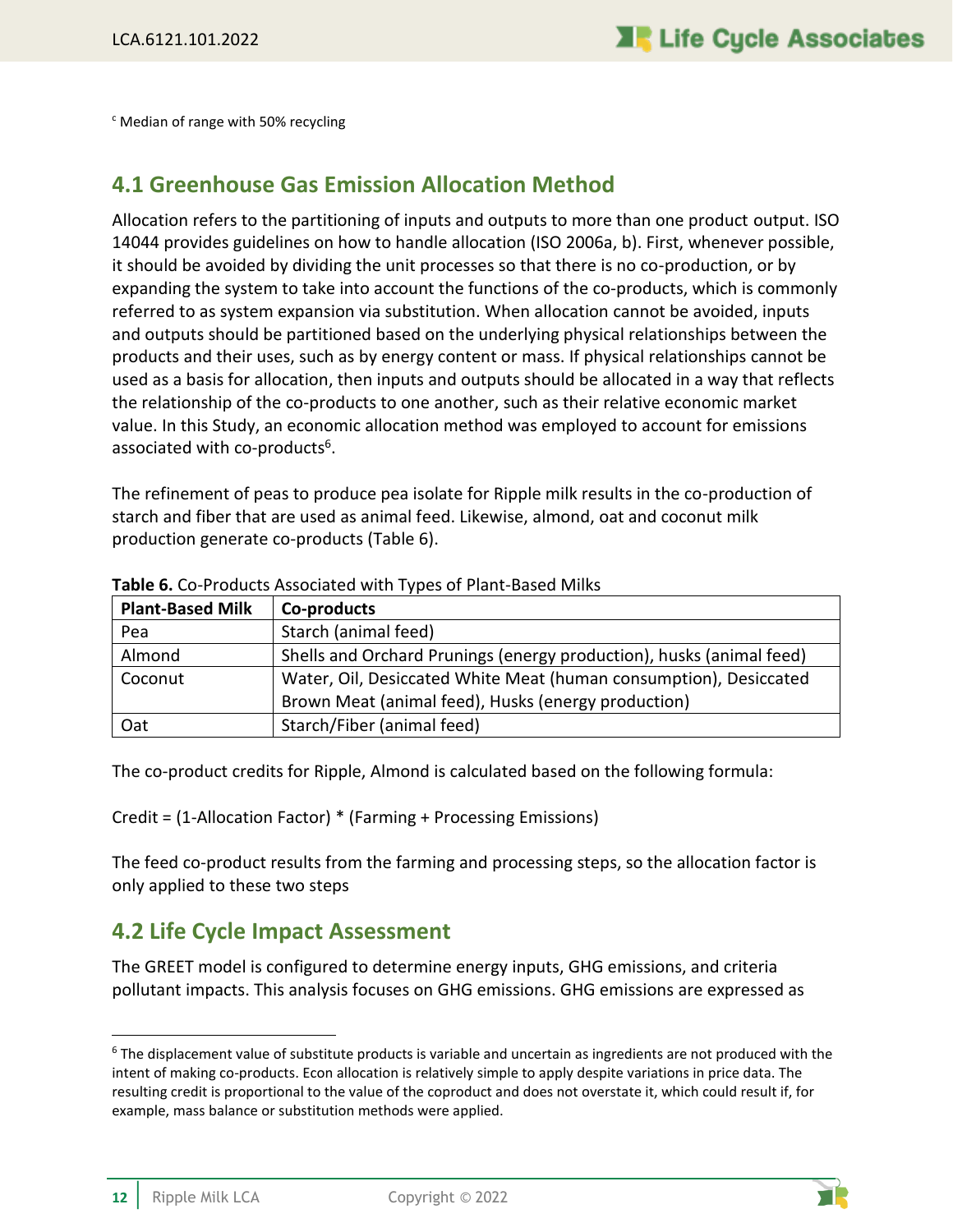<sup>c</sup> Median of range with 50% recycling

### <span id="page-16-0"></span>**4.1 Greenhouse Gas Emission Allocation Method**

Allocation refers to the partitioning of inputs and outputs to more than one product output. ISO 14044 provides guidelines on how to handle allocation (ISO 2006a, b). First, whenever possible, it should be avoided by dividing the unit processes so that there is no co-production, or by expanding the system to take into account the functions of the co-products, which is commonly referred to as system expansion via substitution. When allocation cannot be avoided, inputs and outputs should be partitioned based on the underlying physical relationships between the products and their uses, such as by energy content or mass. If physical relationships cannot be used as a basis for allocation, then inputs and outputs should be allocated in a way that reflects the relationship of the co-products to one another, such as their relative economic market value. In this Study, an economic allocation method was employed to account for emissions associated with co-products<sup>6</sup>.

The refinement of peas to produce pea isolate for Ripple milk results in the co-production of starch and fiber that are used as animal feed. Likewise, almond, oat and coconut milk production generate co-products [\(Table 6\)](#page-16-2).

| <b>Plant-Based Milk</b> | Co-products                                                          |
|-------------------------|----------------------------------------------------------------------|
| Pea                     | Starch (animal feed)                                                 |
| Almond                  | Shells and Orchard Prunings (energy production), husks (animal feed) |
| Coconut                 | Water, Oil, Desiccated White Meat (human consumption), Desiccated    |
|                         | Brown Meat (animal feed), Husks (energy production)                  |
| Oat                     | Starch/Fiber (animal feed)                                           |

<span id="page-16-2"></span>**Table 6.** Co-Products Associated with Types of Plant-Based Milks

The co-product credits for Ripple, Almond is calculated based on the following formula:

Credit = (1-Allocation Factor) \* (Farming + Processing Emissions)

The feed co-product results from the farming and processing steps, so the allocation factor is only applied to these two steps

### <span id="page-16-1"></span>**4.2 Life Cycle Impact Assessment**

The GREET model is configured to determine energy inputs, GHG emissions, and criteria pollutant impacts. This analysis focuses on GHG emissions. GHG emissions are expressed as



 $6$  The displacement value of substitute products is variable and uncertain as ingredients are not produced with the intent of making co-products. Econ allocation is relatively simple to apply despite variations in price data. The resulting credit is proportional to the value of the coproduct and does not overstate it, which could result if, for example, mass balance or substitution methods were applied.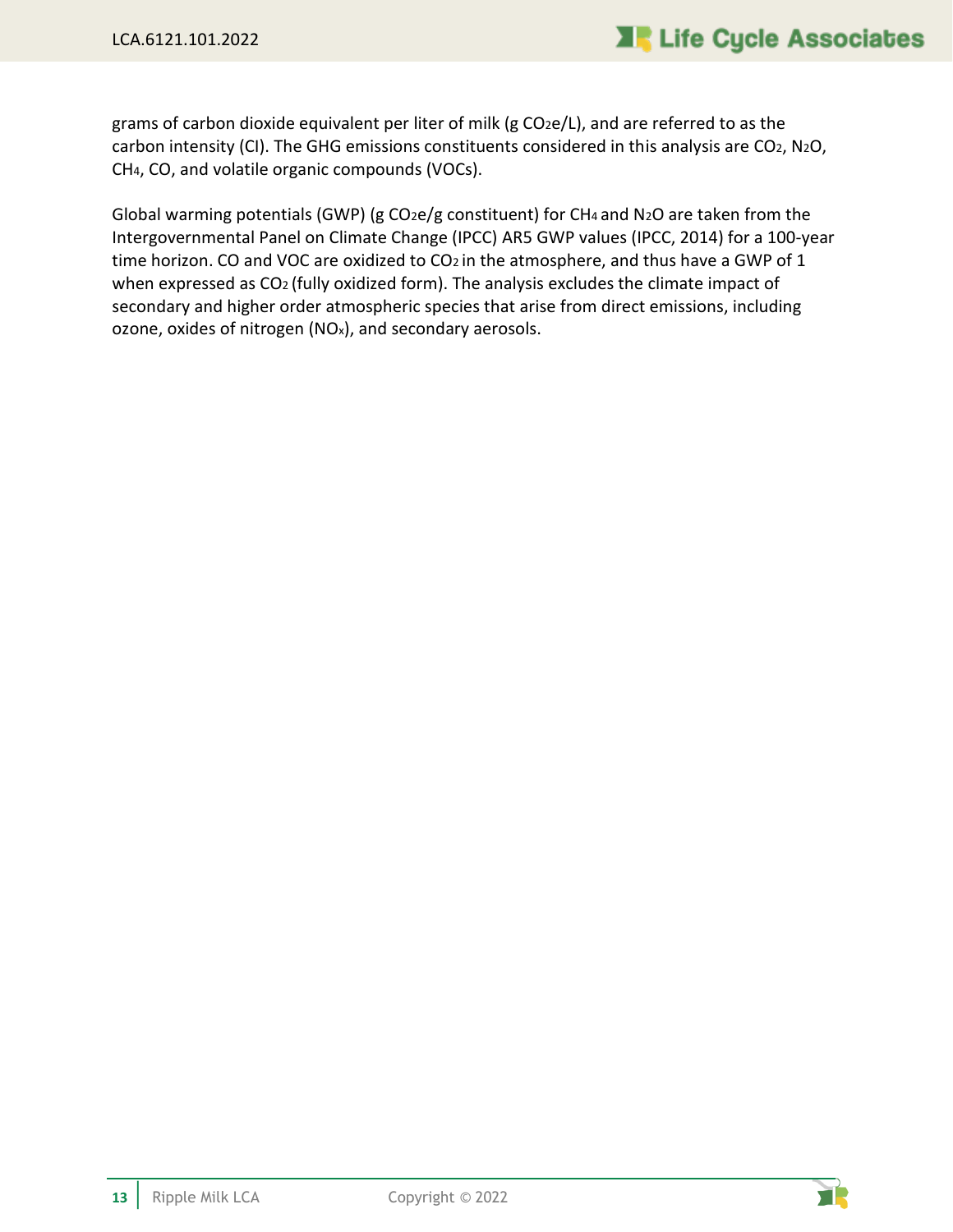grams of carbon dioxide equivalent per liter of milk (g CO2e/L), and are referred to as the carbon intensity (CI). The GHG emissions constituents considered in this analysis are CO2, N2O, CH4, CO, and volatile organic compounds (VOCs).

Global warming potentials (GWP) (g CO2e/g constituent) for CH4 and N2O are taken from the Intergovernmental Panel on Climate Change (IPCC) AR5 GWP values (IPCC, 2014) for a 100-year time horizon. CO and VOC are oxidized to CO<sub>2</sub> in the atmosphere, and thus have a GWP of 1 when expressed as CO<sub>2</sub> (fully oxidized form). The analysis excludes the climate impact of secondary and higher order atmospheric species that arise from direct emissions, including ozone, oxides of nitrogen (NOx), and secondary aerosols.

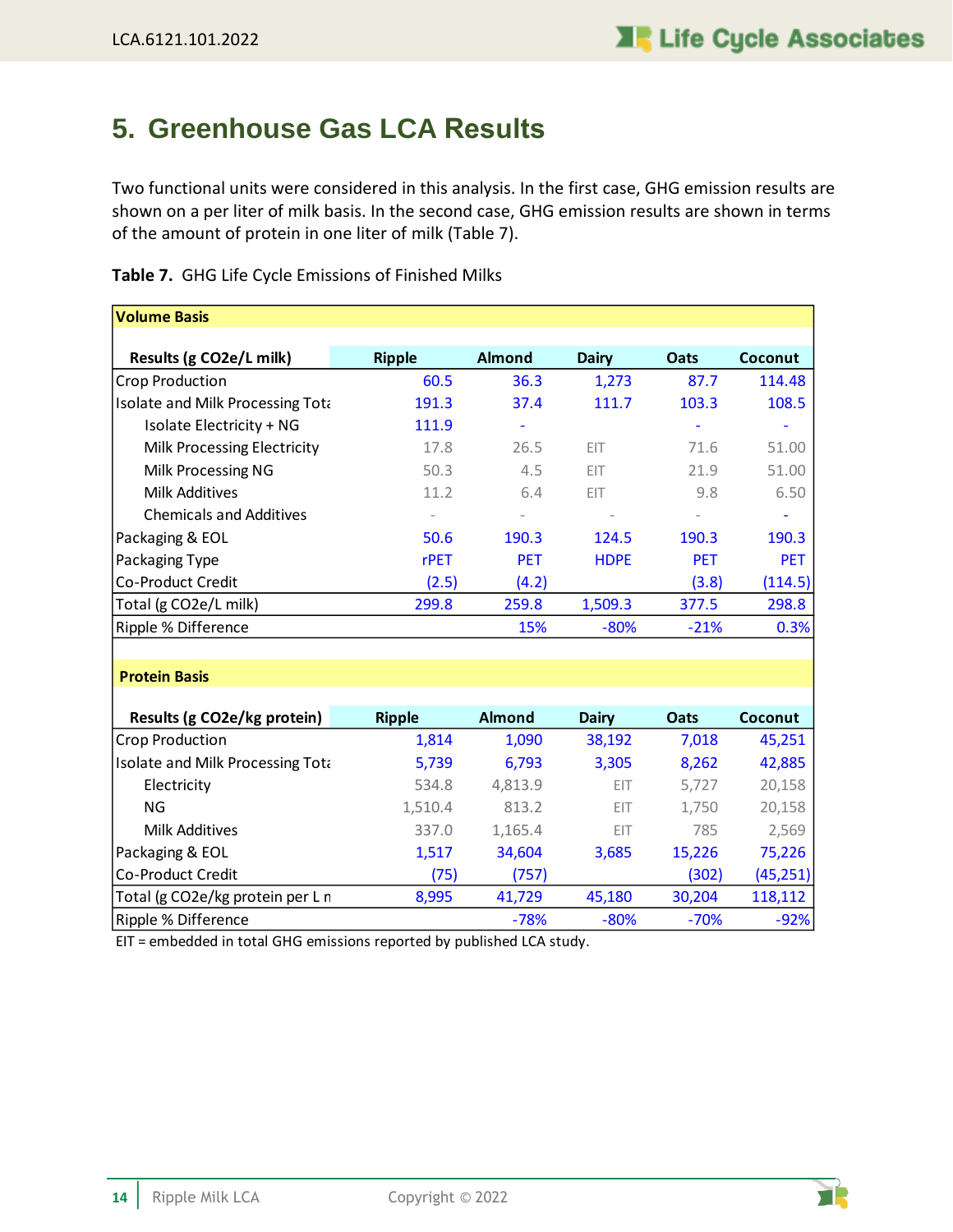## <span id="page-18-0"></span>**5. Greenhouse Gas LCA Results**

Two functional units were considered in this analysis. In the first case, GHG emission results are shown on a per liter of milk basis. In the second case, GHG emission results are shown in terms of the amount of protein in one liter of milk [\(Table 7\)](#page-18-1).

| <b>Volume Basis</b>              |                   |               |             |            |            |
|----------------------------------|-------------------|---------------|-------------|------------|------------|
|                                  |                   |               |             |            |            |
| Results (g CO2e/L milk)          | <b>Ripple</b>     | <b>Almond</b> | Dairy       | Oats       | Coconut    |
| Crop Production                  | 60.5              | 36.3          | 1,273       | 87.7       | 114.48     |
| Isolate and Milk Processing Tota | 191.3             | 37.4          | 111.7       | 103.3      | 108.5      |
| Isolate Electricity + NG         | 111.9             |               |             |            |            |
| Milk Processing Electricity      | 17.8              | 26.5          | EIT         | 71.6       | 51.00      |
| Milk Processing NG               | 50.3              | 4.5           | EIT         | 21.9       | 51.00      |
| Milk Additives                   | 11.2              | 6.4           | EIT         | 9.8        | 6.50       |
| <b>Chemicals and Additives</b>   | $\qquad \qquad -$ |               |             |            |            |
| Packaging & EOL                  | 50.6              | 190.3         | 124.5       | 190.3      | 190.3      |
| Packaging Type                   | rPET              | <b>PET</b>    | <b>HDPE</b> | <b>PET</b> | <b>PET</b> |
| Co-Product Credit                | (2.5)             | (4.2)         |             | (3.8)      | (114.5)    |
| Total (g CO2e/L milk)            | 299.8             | 259.8         | 1,509.3     | 377.5      | 298.8      |
| Ripple % Difference              |                   | 15%           | $-80%$      | $-21%$     | 0.3%       |

<span id="page-18-1"></span>**Table 7.** GHG Life Cycle Emissions of Finished Milks

#### **Protein Basis**

| Results (g CO2e/kg protein)      | <b>Ripple</b> | <b>Almond</b> | <b>Dairy</b> | <b>Oats</b> | Coconut   |
|----------------------------------|---------------|---------------|--------------|-------------|-----------|
| <b>Crop Production</b>           | 1,814         | 1,090         | 38,192       | 7,018       | 45,251    |
| Isolate and Milk Processing Tota | 5,739         | 6,793         | 3,305        | 8,262       | 42,885    |
| Electricity                      | 534.8         | 4,813.9       | EIT          | 5,727       | 20,158    |
| ΝG                               | 1,510.4       | 813.2         | EIT          | 1,750       | 20,158    |
| Milk Additives                   | 337.0         | 1,165.4       | EIT          | 785         | 2,569     |
| Packaging & EOL                  | 1,517         | 34,604        | 3,685        | 15,226      | 75,226    |
| Co-Product Credit                | (75)          | (757)         |              | (302)       | (45, 251) |
| Total (g CO2e/kg protein per L n | 8,995         | 41,729        | 45,180       | 30,204      | 118,112   |
| Ripple % Difference              |               | $-78%$        | $-80%$       | $-70%$      | $-92%$    |

EIT = embedded in total GHG emissions reported by published LCA study.

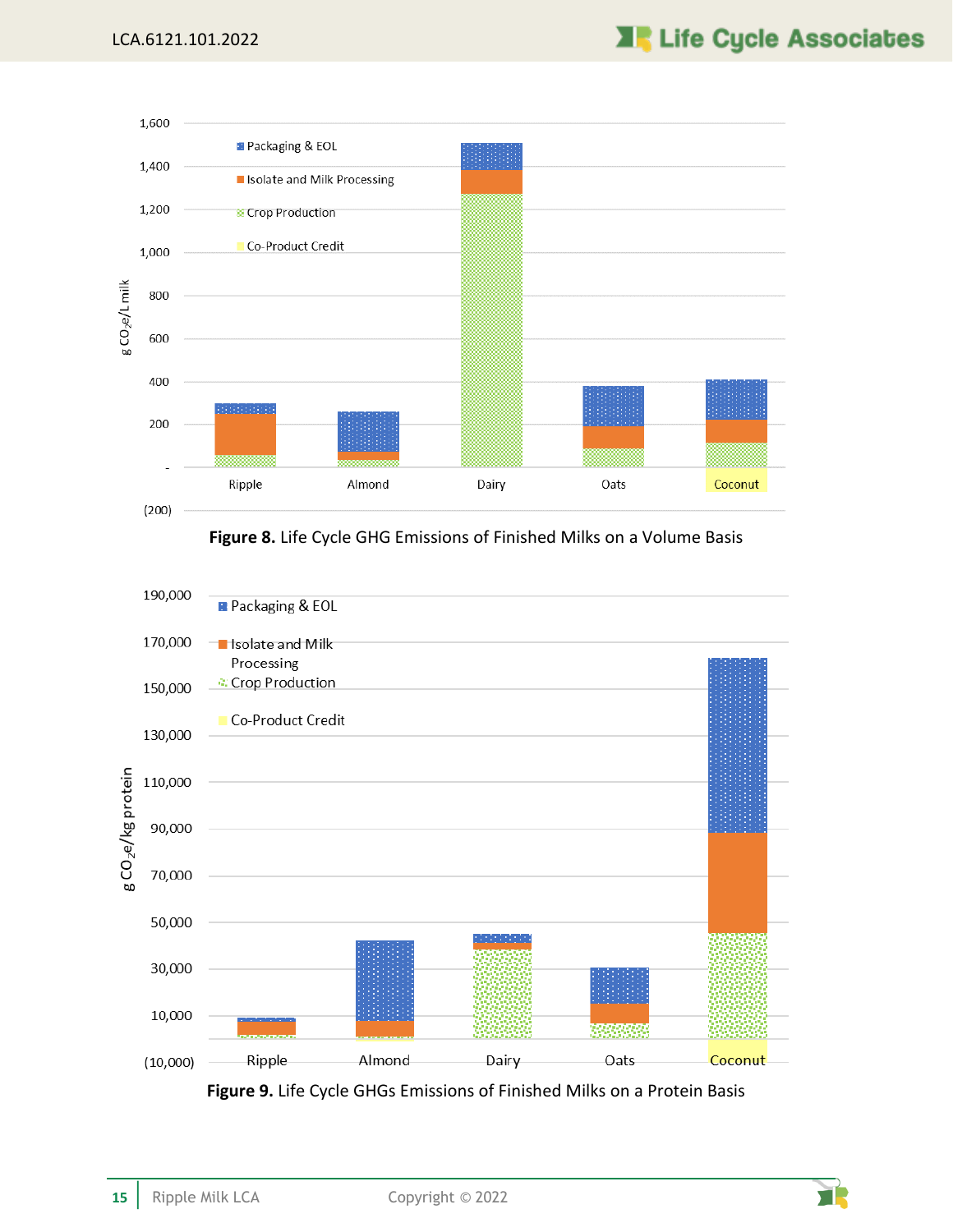

**Figure 8.** Life Cycle GHG Emissions of Finished Milks on a Volume Basis

<span id="page-19-0"></span>

<span id="page-19-1"></span>**Figure 9.** Life Cycle GHGs Emissions of Finished Milks on a Protein Basis

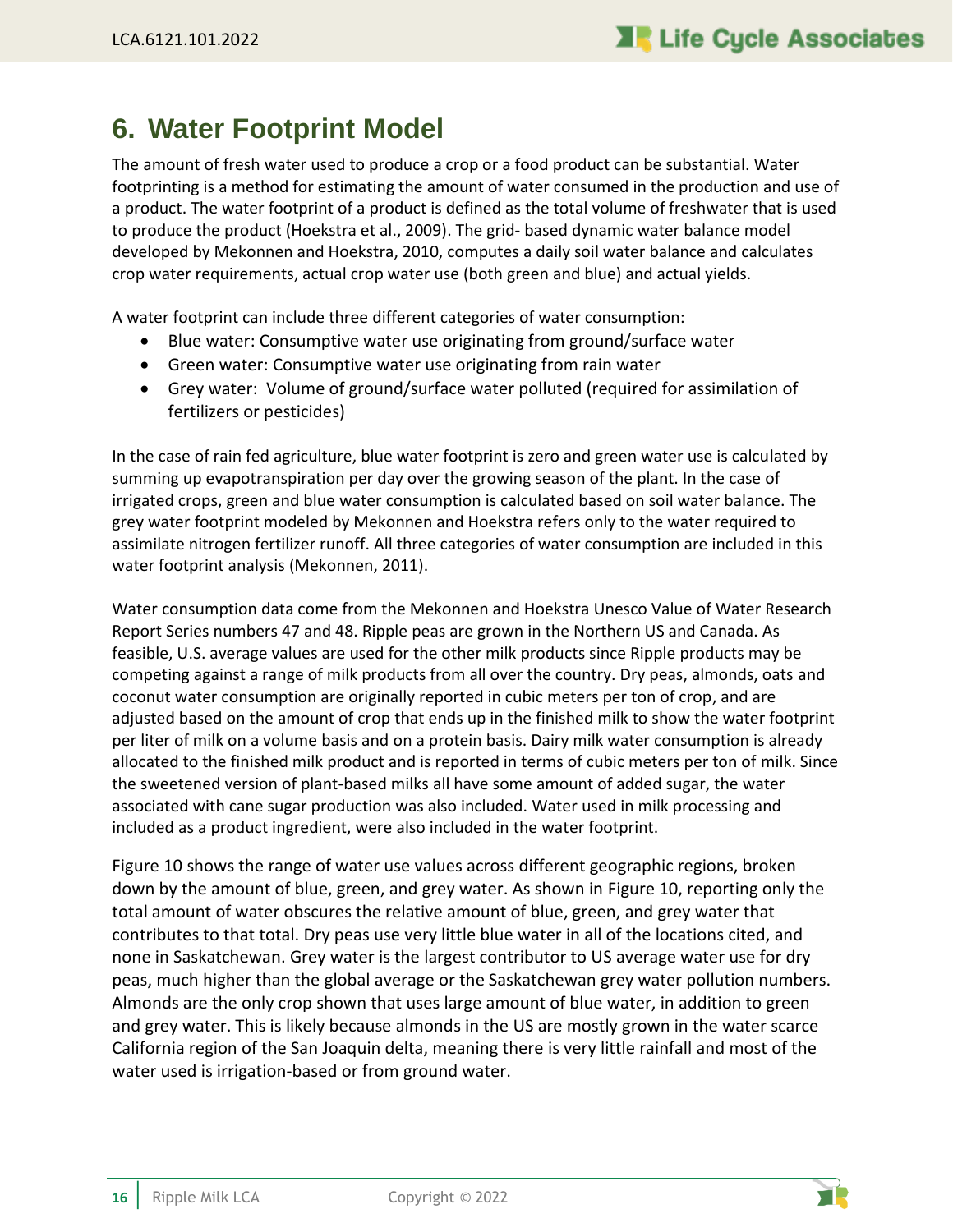### <span id="page-20-0"></span>**6. Water Footprint Model**

The amount of fresh water used to produce a crop or a food product can be substantial. Water footprinting is a method for estimating the amount of water consumed in the production and use of a product. The water footprint of a product is defined as the total volume of freshwater that is used to produce the product (Hoekstra et al., 2009). The grid- based dynamic water balance model developed by Mekonnen and Hoekstra, 2010, computes a daily soil water balance and calculates crop water requirements, actual crop water use (both green and blue) and actual yields.

A water footprint can include three different categories of water consumption:

- Blue water: Consumptive water use originating from ground/surface water
- Green water: Consumptive water use originating from rain water
- Grey water: Volume of ground/surface water polluted (required for assimilation of fertilizers or pesticides)

In the case of rain fed agriculture, blue water footprint is zero and green water use is calculated by summing up evapotranspiration per day over the growing season of the plant. In the case of irrigated crops, green and blue water consumption is calculated based on soil water balance. The grey water footprint modeled by Mekonnen and Hoekstra refers only to the water required to assimilate nitrogen fertilizer runoff. All three categories of water consumption are included in this water footprint analysis (Mekonnen, 2011).

Water consumption data come from the Mekonnen and Hoekstra Unesco Value of Water Research Report Series numbers 47 and 48. Ripple peas are grown in the Northern US and Canada. As feasible, U.S. average values are used for the other milk products since Ripple products may be competing against a range of milk products from all over the country. Dry peas, almonds, oats and coconut water consumption are originally reported in cubic meters per ton of crop, and are adjusted based on the amount of crop that ends up in the finished milk to show the water footprint per liter of milk on a volume basis and on a protein basis. Dairy milk water consumption is already allocated to the finished milk product and is reported in terms of cubic meters per ton of milk. Since the sweetened version of plant-based milks all have some amount of added sugar, the water associated with cane sugar production was also included. Water used in milk processing and included as a product ingredient, were also included in the water footprint.

[Figure 10](#page-21-0) shows the range of water use values across different geographic regions, broken down by the amount of blue, green, and grey water. As shown in [Figure 10,](#page-21-0) reporting only the total amount of water obscures the relative amount of blue, green, and grey water that contributes to that total. Dry peas use very little blue water in all of the locations cited, and none in Saskatchewan. Grey water is the largest contributor to US average water use for dry peas, much higher than the global average or the Saskatchewan grey water pollution numbers. Almonds are the only crop shown that uses large amount of blue water, in addition to green and grey water. This is likely because almonds in the US are mostly grown in the water scarce California region of the San Joaquin delta, meaning there is very little rainfall and most of the water used is irrigation-based or from ground water.

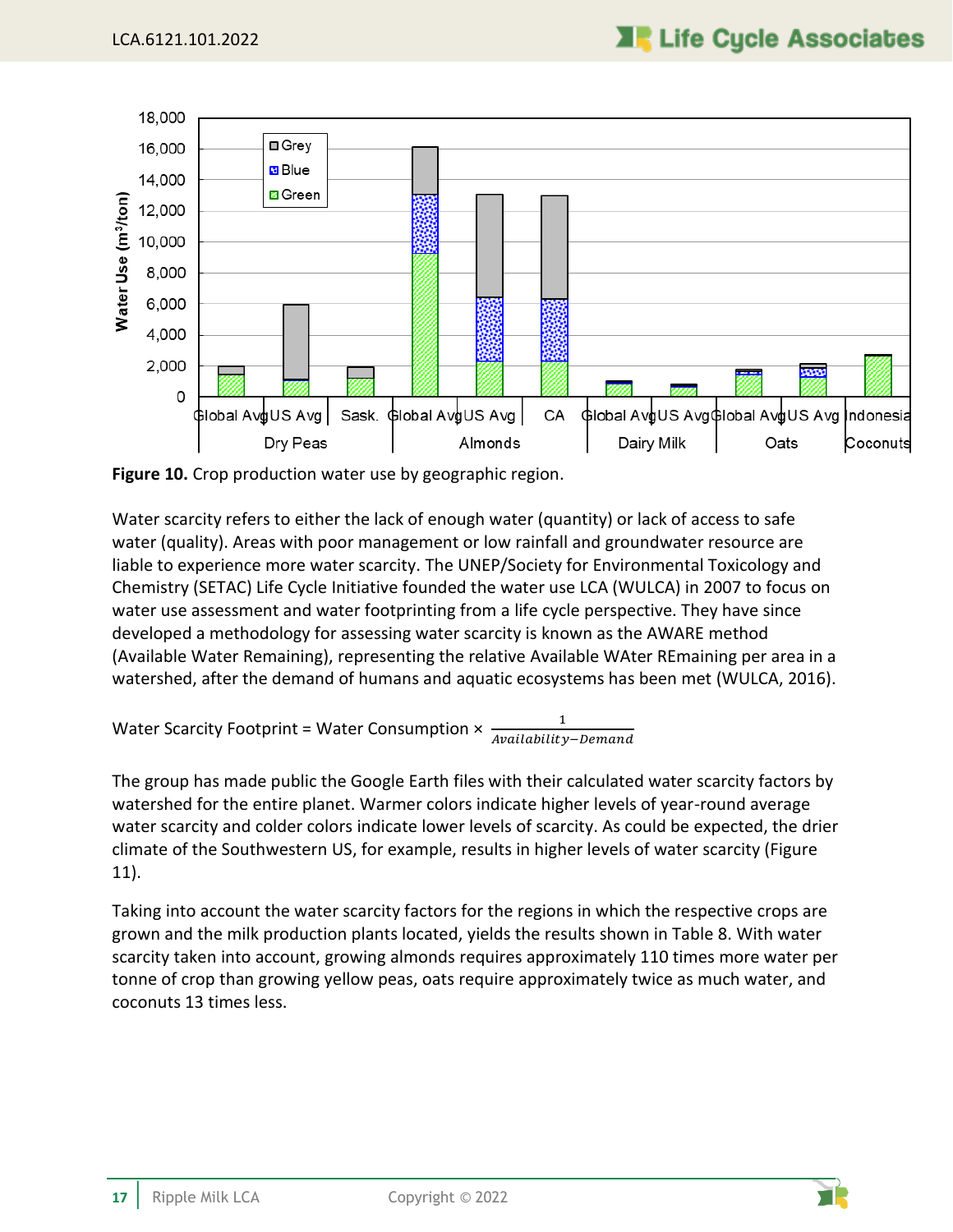

<span id="page-21-0"></span>**Figure 10.** Crop production water use by geographic region.

Water scarcity refers to either the lack of enough water (quantity) or lack of access to safe water (quality). Areas with poor management or low rainfall and groundwater resource are liable to experience more water scarcity. The UNEP/Society for Environmental Toxicology and Chemistry (SETAC) Life Cycle Initiative founded the water use LCA (WULCA) in 2007 to focus on water use assessment and water footprinting from a life cycle perspective. They have since developed a methodology for assessing water scarcity is known as the AWARE method (Available Water Remaining), representing the relative Available WAter REmaining per area in a watershed, after the demand of humans and aquatic ecosystems has been met (WULCA, 2016).

Water Scarcity Footprint = Water Consumption  $\times$   $\frac{1}{4\pi q^{(16)}}$ Availability–Demand

The group has made public the Google Earth files with their calculated water scarcity factors by watershed for the entire planet. Warmer colors indicate higher levels of year-round average water scarcity and colder colors indicate lower levels of scarcity. As could be expected, the drier climate of the Southwestern US, for example, results in higher levels of water scarcity [\(Figure](#page-22-0)  [11\)](#page-22-0).

Taking into account the water scarcity factors for the regions in which the respective crops are grown and the milk production plants located, yields the results shown in [Table 8.](#page-23-0) With water scarcity taken into account, growing almonds requires approximately 110 times more water per tonne of crop than growing yellow peas, oats require approximately twice as much water, and coconuts 13 times less.

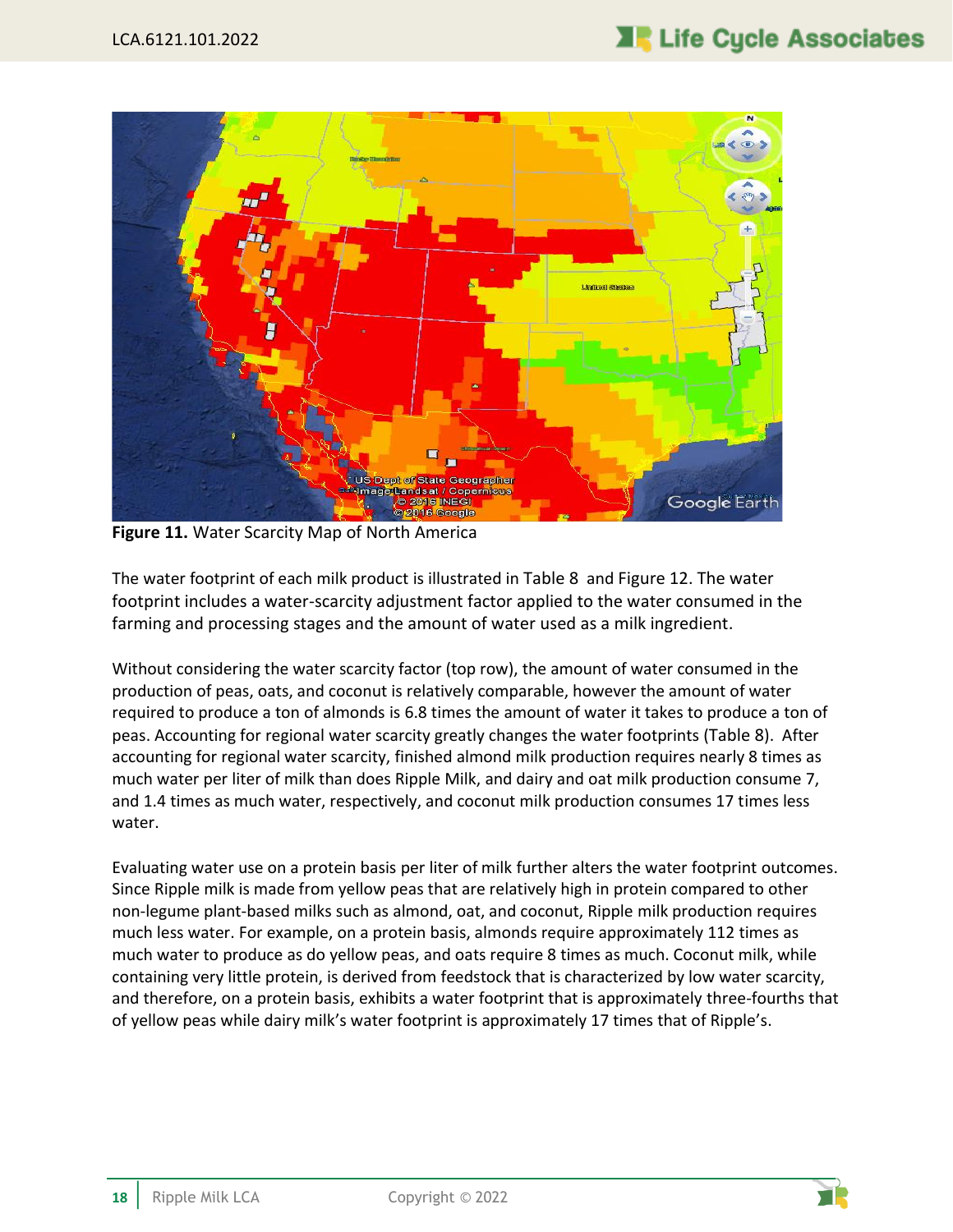

**Figure 11.** Water Scarcity Map of North America

<span id="page-22-0"></span>The water footprint of each milk product is illustrated in [Table 8](#page-23-0) and [Figure 12](#page-24-0). The water footprint includes a water-scarcity adjustment factor applied to the water consumed in the farming and processing stages and the amount of water used as a milk ingredient.

Without considering the water scarcity factor (top row), the amount of water consumed in the production of peas, oats, and coconut is relatively comparable, however the amount of water required to produce a ton of almonds is 6.8 times the amount of water it takes to produce a ton of peas. Accounting for regional water scarcity greatly changes the water footprints ([Table 8](#page-23-0)). After accounting for regional water scarcity, finished almond milk production requires nearly 8 times as much water per liter of milk than does Ripple Milk, and dairy and oat milk production consume 7, and 1.4 times as much water, respectively, and coconut milk production consumes 17 times less water.

Evaluating water use on a protein basis per liter of milk further alters the water footprint outcomes. Since Ripple milk is made from yellow peas that are relatively high in protein compared to other non-legume plant-based milks such as almond, oat, and coconut, Ripple milk production requires much less water. For example, on a protein basis, almonds require approximately 112 times as much water to produce as do yellow peas, and oats require 8 times as much. Coconut milk, while containing very little protein, is derived from feedstock that is characterized by low water scarcity, and therefore, on a protein basis, exhibits a water footprint that is approximately three-fourths that of yellow peas while dairy milk's water footprint is approximately 17 times that of Ripple's.

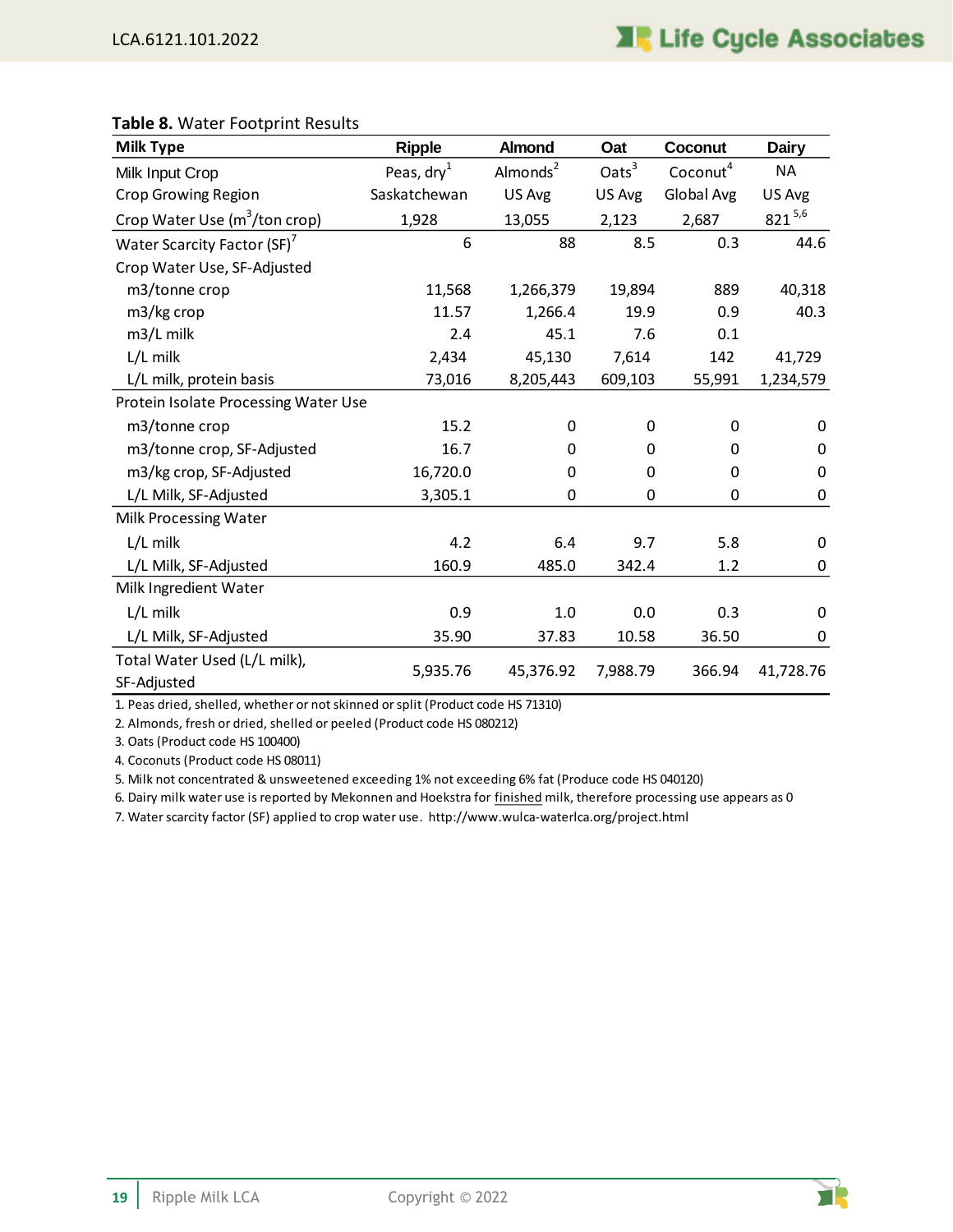| <b>Milk Type</b>                            | <b>Ripple</b>        | <b>Almond</b>        | Oat               | Coconut              | <b>Dairy</b> |
|---------------------------------------------|----------------------|----------------------|-------------------|----------------------|--------------|
| Milk Input Crop                             | Peas, $\text{dry}^1$ | Almonds <sup>2</sup> | Oats <sup>3</sup> | Coconut <sup>4</sup> | <b>NA</b>    |
| <b>Crop Growing Region</b>                  | Saskatchewan         | US Avg               | US Avg            | Global Avg           | US Avg       |
| Crop Water Use (m <sup>3</sup> /ton crop)   | 1,928                | 13,055               | 2,123             | 2,687                | $821^{5,6}$  |
| Water Scarcity Factor (SF) <sup>7</sup>     | 6                    | 88                   | 8.5               | 0.3                  | 44.6         |
| Crop Water Use, SF-Adjusted                 |                      |                      |                   |                      |              |
| m3/tonne crop                               | 11,568               | 1,266,379            | 19,894            | 889                  | 40,318       |
| m3/kg crop                                  | 11.57                | 1,266.4              | 19.9              | 0.9                  | 40.3         |
| m3/L milk                                   | 2.4                  | 45.1                 | 7.6               | 0.1                  |              |
| L/L milk                                    | 2,434                | 45,130               | 7,614             | 142                  | 41,729       |
| L/L milk, protein basis                     | 73,016               | 8,205,443            | 609,103           | 55,991               | 1,234,579    |
| Protein Isolate Processing Water Use        |                      |                      |                   |                      |              |
| m3/tonne crop                               | 15.2                 | 0                    | $\Omega$          | 0                    | 0            |
| m3/tonne crop, SF-Adjusted                  | 16.7                 | 0                    | $\Omega$          | 0                    | 0            |
| m3/kg crop, SF-Adjusted                     | 16,720.0             | $\Omega$             | $\Omega$          | 0                    | 0            |
| L/L Milk, SF-Adjusted                       | 3,305.1              | 0                    | 0                 | $\mathbf 0$          | 0            |
| Milk Processing Water                       |                      |                      |                   |                      |              |
| L/L milk                                    | 4.2                  | 6.4                  | 9.7               | 5.8                  | 0            |
| L/L Milk, SF-Adjusted                       | 160.9                | 485.0                | 342.4             | 1.2                  | 0            |
| Milk Ingredient Water                       |                      |                      |                   |                      |              |
| L/L milk                                    | 0.9                  | 1.0                  | 0.0               | 0.3                  | 0            |
| L/L Milk, SF-Adjusted                       | 35.90                | 37.83                | 10.58             | 36.50                | 0            |
| Total Water Used (L/L milk),<br>SF-Adjusted | 5,935.76             | 45,376.92            | 7,988.79          | 366.94               | 41,728.76    |

#### <span id="page-23-0"></span>**Table 8.** Water Footprint Results

1. Peas dried, shelled, whether or not skinned or split (Product code HS 71310)

2. Almonds, fresh or dried, shelled or peeled (Product code HS 080212)

3. Oats (Product code HS 100400)

4. Coconuts (Product code HS 08011)

5. Milk not concentrated & unsweetened exceeding 1% not exceeding 6% fat (Produce code HS 040120)

6. Dairy milk water use is reported by Mekonnen and Hoekstra for finished milk, therefore processing use appears as 0

7. Water scarcity factor (SF) applied to crop water use. http://www.wulca-waterlca.org/project.html

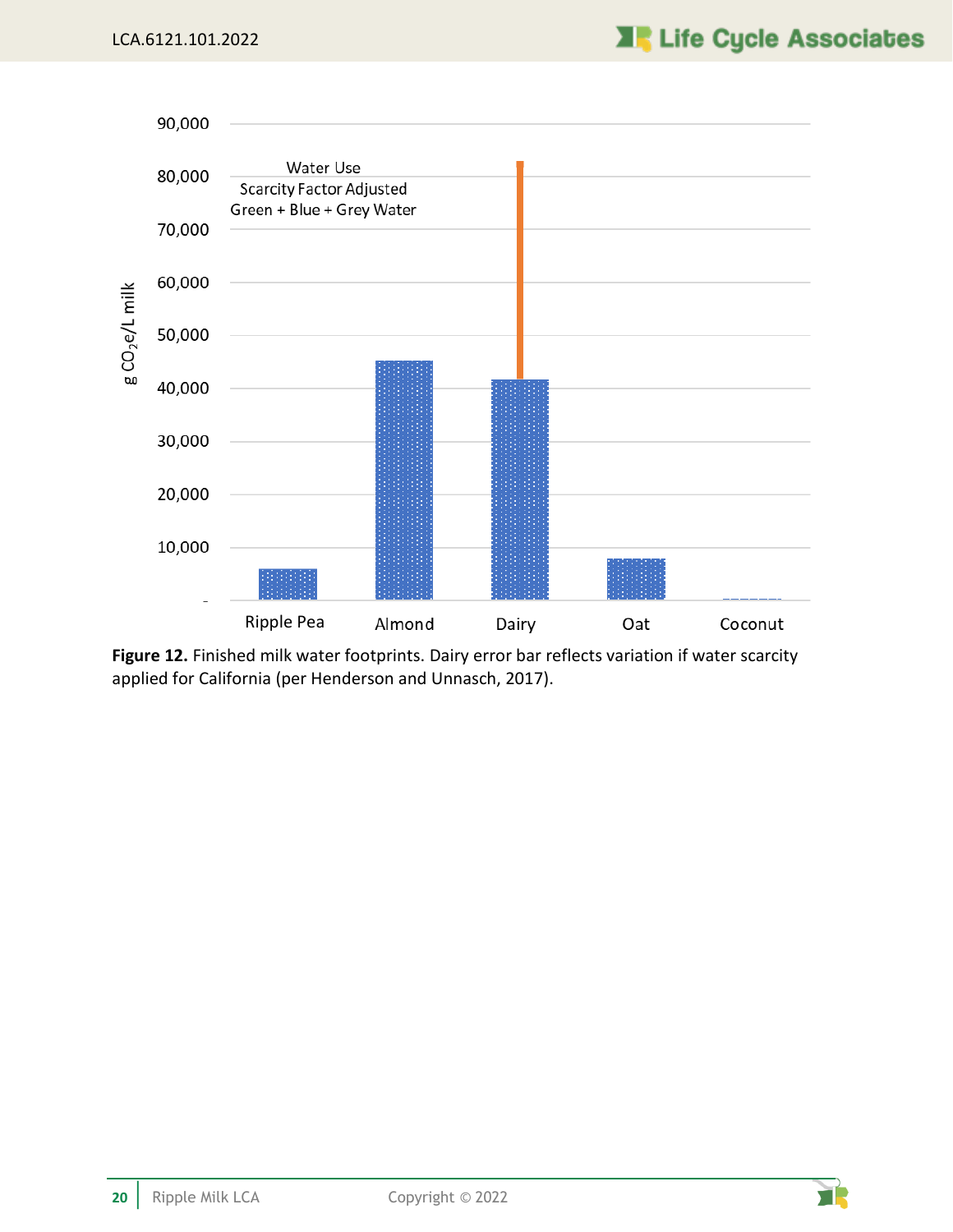

<span id="page-24-0"></span>**Figure 12.** Finished milk water footprints. Dairy error bar reflects variation if water scarcity applied for California (per Henderson and Unnasch, 2017).

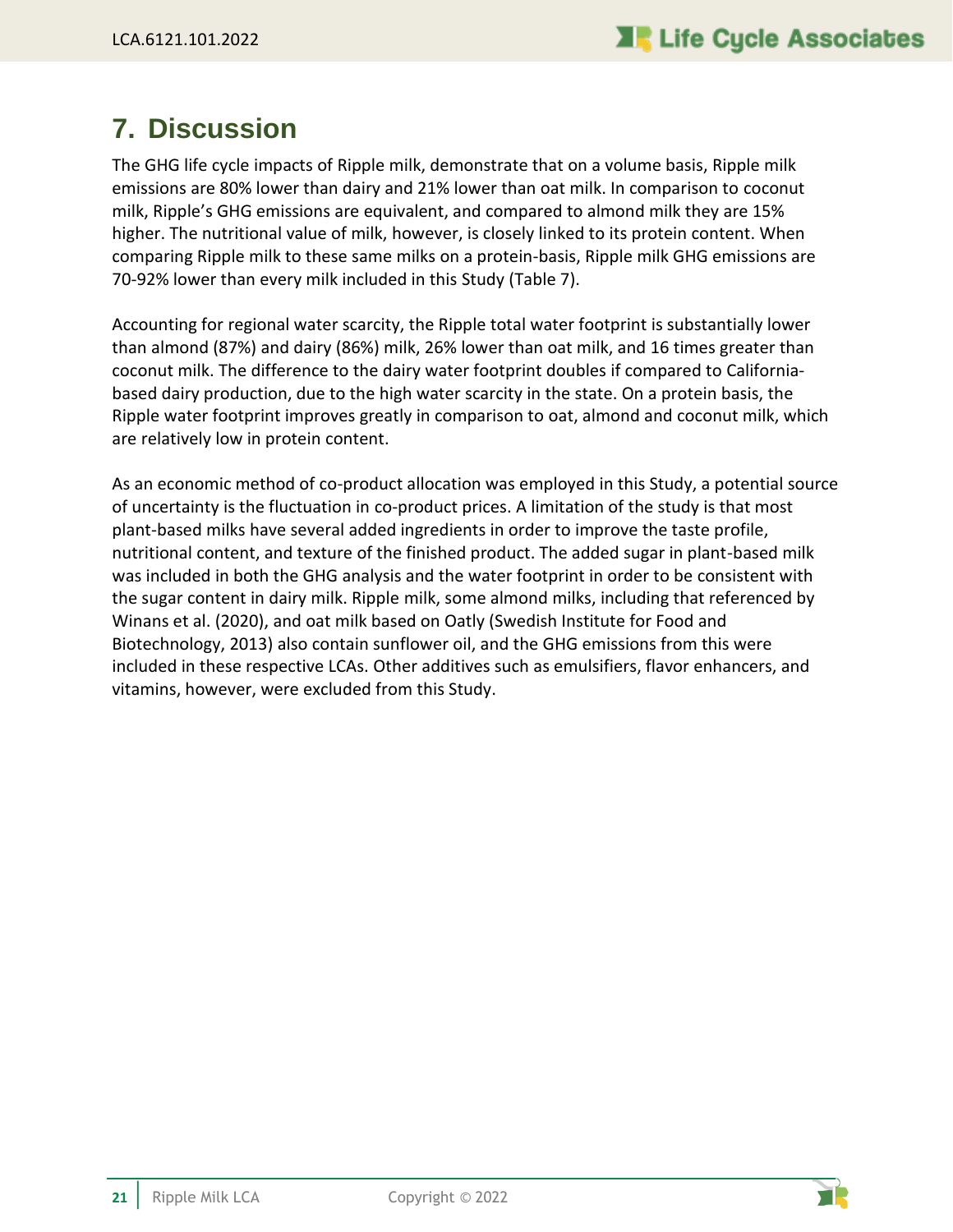## <span id="page-25-0"></span>**7. Discussion**

The GHG life cycle impacts of Ripple milk, demonstrate that on a volume basis, Ripple milk emissions are 80% lower than dairy and 21% lower than oat milk. In comparison to coconut milk, Ripple's GHG emissions are equivalent, and compared to almond milk they are 15% higher. The nutritional value of milk, however, is closely linked to its protein content. When comparing Ripple milk to these same milks on a protein-basis, Ripple milk GHG emissions are 70-92% lower than every milk included in this Study [\(Table 7\)](#page-18-1).

Accounting for regional water scarcity, the Ripple total water footprint is substantially lower than almond (87%) and dairy (86%) milk, 26% lower than oat milk, and 16 times greater than coconut milk. The difference to the dairy water footprint doubles if compared to Californiabased dairy production, due to the high water scarcity in the state. On a protein basis, the Ripple water footprint improves greatly in comparison to oat, almond and coconut milk, which are relatively low in protein content.

As an economic method of co-product allocation was employed in this Study, a potential source of uncertainty is the fluctuation in co-product prices. A limitation of the study is that most plant-based milks have several added ingredients in order to improve the taste profile, nutritional content, and texture of the finished product. The added sugar in plant-based milk was included in both the GHG analysis and the water footprint in order to be consistent with the sugar content in dairy milk. Ripple milk, some almond milks, including that referenced by Winans et al. (2020), and oat milk based on Oatly (Swedish Institute for Food and Biotechnology, 2013) also contain sunflower oil, and the GHG emissions from this were included in these respective LCAs. Other additives such as emulsifiers, flavor enhancers, and vitamins, however, were excluded from this Study.



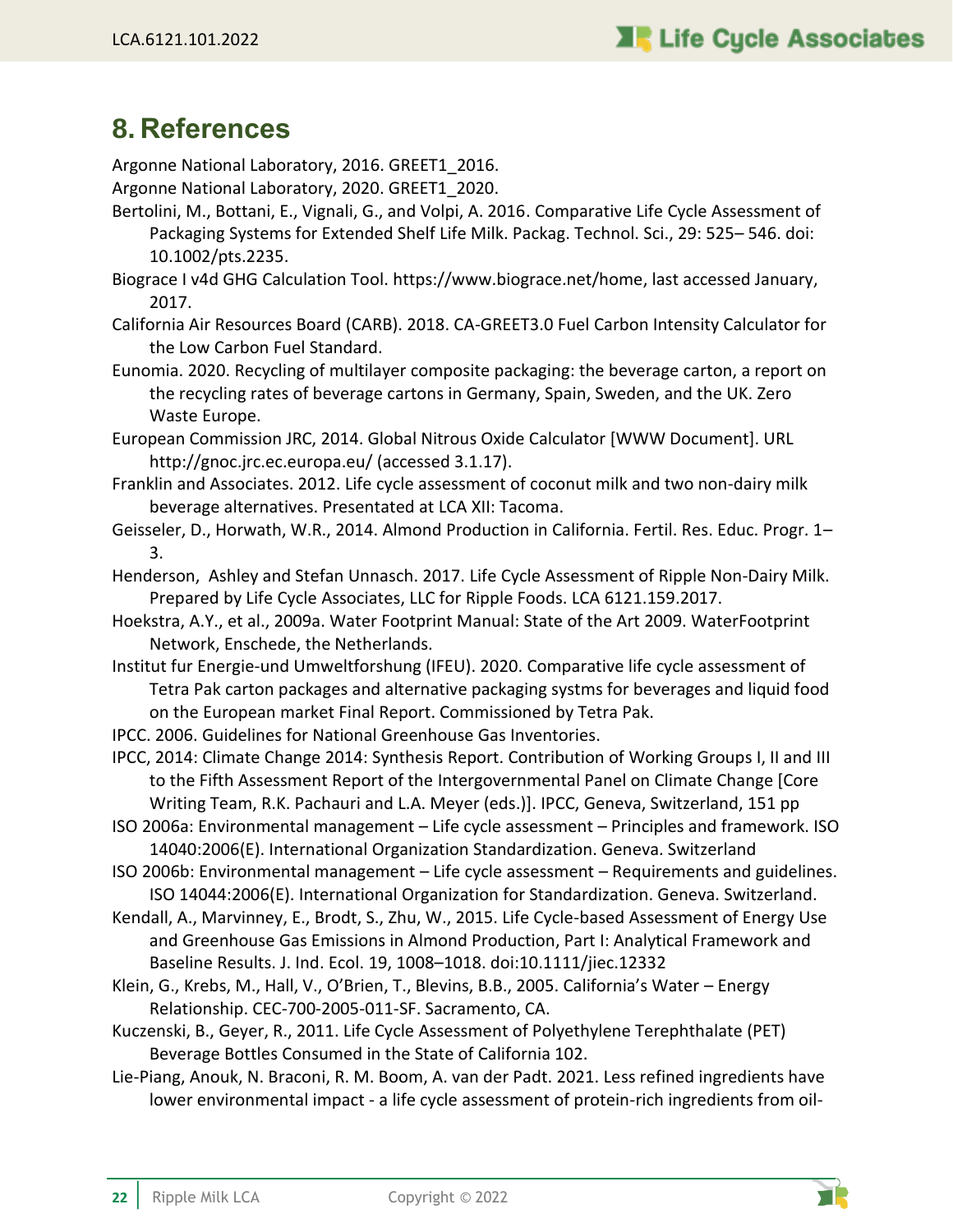## <span id="page-26-0"></span>**8. References**

Argonne National Laboratory, 2016. GREET1\_2016.

- Argonne National Laboratory, 2020. GREET1\_2020.
- Bertolini, M., Bottani, E., Vignali, G., and Volpi, A. 2016. Comparative Life Cycle Assessment of Packaging Systems for Extended Shelf Life Milk. Packag. Technol. Sci., 29: 525– 546. doi: 10.1002/pts.2235.
- Biograce I v4d GHG Calculation Tool. https://www.biograce.net/home, last accessed January, 2017.
- California Air Resources Board (CARB). 2018. CA-GREET3.0 Fuel Carbon Intensity Calculator for the Low Carbon Fuel Standard.
- Eunomia. 2020. Recycling of multilayer composite packaging: the beverage carton, a report on the recycling rates of beverage cartons in Germany, Spain, Sweden, and the UK. Zero Waste Europe.
- European Commission JRC, 2014. Global Nitrous Oxide Calculator [WWW Document]. URL http://gnoc.jrc.ec.europa.eu/ (accessed 3.1.17).
- Franklin and Associates. 2012. Life cycle assessment of coconut milk and two non-dairy milk beverage alternatives. Presentated at LCA XII: Tacoma.
- Geisseler, D., Horwath, W.R., 2014. Almond Production in California. Fertil. Res. Educ. Progr. 1– 3.
- Henderson, Ashley and Stefan Unnasch. 2017. Life Cycle Assessment of Ripple Non-Dairy Milk. Prepared by Life Cycle Associates, LLC for Ripple Foods. LCA 6121.159.2017.
- Hoekstra, A.Y., et al., 2009a. Water Footprint Manual: State of the Art 2009. WaterFootprint Network, Enschede, the Netherlands.
- Institut fur Energie-und Umweltforshung (IFEU). 2020. Comparative life cycle assessment of Tetra Pak carton packages and alternative packaging systms for beverages and liquid food on the European market Final Report. Commissioned by Tetra Pak.
- IPCC. 2006. Guidelines for National Greenhouse Gas Inventories.
- IPCC, 2014: Climate Change 2014: Synthesis Report. Contribution of Working Groups I, II and III to the Fifth Assessment Report of the Intergovernmental Panel on Climate Change [Core Writing Team, R.K. Pachauri and L.A. Meyer (eds.)]. IPCC, Geneva, Switzerland, 151 pp
- ISO 2006a: Environmental management Life cycle assessment Principles and framework. ISO 14040:2006(E). International Organization Standardization. Geneva. Switzerland
- ISO 2006b: Environmental management Life cycle assessment Requirements and guidelines. ISO 14044:2006(E). International Organization for Standardization. Geneva. Switzerland.
- Kendall, A., Marvinney, E., Brodt, S., Zhu, W., 2015. Life Cycle-based Assessment of Energy Use and Greenhouse Gas Emissions in Almond Production, Part I: Analytical Framework and Baseline Results. J. Ind. Ecol. 19, 1008–1018. doi:10.1111/jiec.12332
- Klein, G., Krebs, M., Hall, V., O'Brien, T., Blevins, B.B., 2005. California's Water Energy Relationship. CEC-700-2005-011-SF. Sacramento, CA.
- Kuczenski, B., Geyer, R., 2011. Life Cycle Assessment of Polyethylene Terephthalate (PET) Beverage Bottles Consumed in the State of California 102.
- Lie-Piang, Anouk, N. Braconi, R. M. Boom, A. van der Padt. 2021. Less refined ingredients have lower environmental impact - a life cycle assessment of protein-rich ingredients from oil-

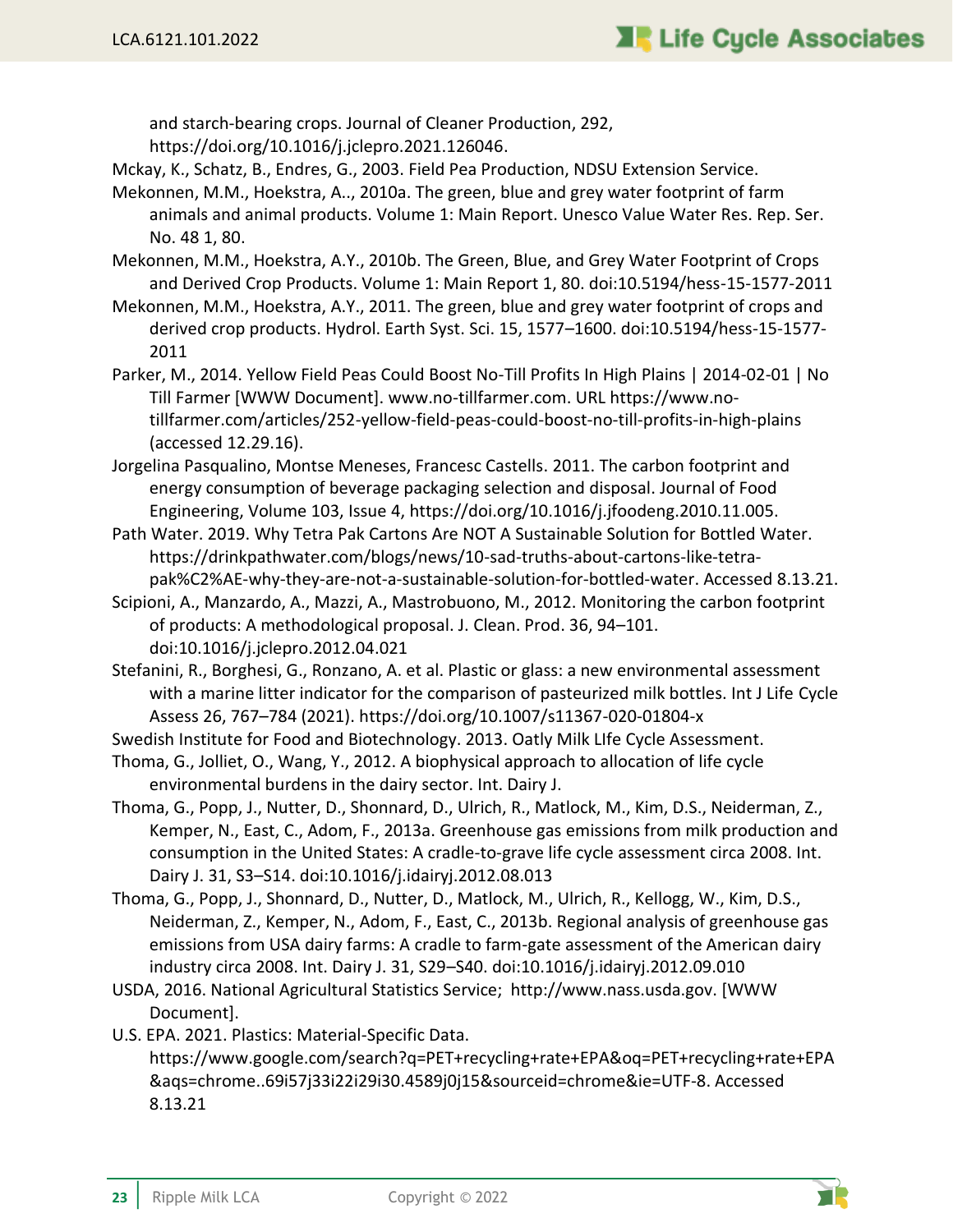and starch-bearing crops. Journal of Cleaner Production, 292,

https://doi.org/10.1016/j.jclepro.2021.126046.

- Mckay, K., Schatz, B., Endres, G., 2003. Field Pea Production, NDSU Extension Service.
- Mekonnen, M.M., Hoekstra, A.., 2010a. The green, blue and grey water footprint of farm animals and animal products. Volume 1: Main Report. Unesco Value Water Res. Rep. Ser. No. 48 1, 80.
- Mekonnen, M.M., Hoekstra, A.Y., 2010b. The Green, Blue, and Grey Water Footprint of Crops and Derived Crop Products. Volume 1: Main Report 1, 80. doi:10.5194/hess-15-1577-2011
- Mekonnen, M.M., Hoekstra, A.Y., 2011. The green, blue and grey water footprint of crops and derived crop products. Hydrol. Earth Syst. Sci. 15, 1577–1600. doi:10.5194/hess-15-1577- 2011
- Parker, M., 2014. Yellow Field Peas Could Boost No-Till Profits In High Plains | 2014-02-01 | No Till Farmer [WWW Document]. www.no-tillfarmer.com. URL https://www.notillfarmer.com/articles/252-yellow-field-peas-could-boost-no-till-profits-in-high-plains (accessed 12.29.16).
- Jorgelina Pasqualino, Montse Meneses, Francesc Castells. 2011. The carbon footprint and energy consumption of beverage packaging selection and disposal. Journal of Food Engineering, Volume 103, Issue 4, https://doi.org/10.1016/j.jfoodeng.2010.11.005.
- Path Water. 2019. Why Tetra Pak Cartons Are NOT A Sustainable Solution for Bottled Water. https://drinkpathwater.com/blogs/news/10-sad-truths-about-cartons-like-tetrapak%C2%AE-why-they-are-not-a-sustainable-solution-for-bottled-water. Accessed 8.13.21.
- Scipioni, A., Manzardo, A., Mazzi, A., Mastrobuono, M., 2012. Monitoring the carbon footprint of products: A methodological proposal. J. Clean. Prod. 36, 94–101. doi:10.1016/j.jclepro.2012.04.021
- Stefanini, R., Borghesi, G., Ronzano, A. et al. Plastic or glass: a new environmental assessment with a marine litter indicator for the comparison of pasteurized milk bottles. Int J Life Cycle Assess 26, 767–784 (2021). https://doi.org/10.1007/s11367-020-01804-x
- Swedish Institute for Food and Biotechnology. 2013. Oatly Milk LIfe Cycle Assessment.
- Thoma, G., Jolliet, O., Wang, Y., 2012. A biophysical approach to allocation of life cycle environmental burdens in the dairy sector. Int. Dairy J.
- Thoma, G., Popp, J., Nutter, D., Shonnard, D., Ulrich, R., Matlock, M., Kim, D.S., Neiderman, Z., Kemper, N., East, C., Adom, F., 2013a. Greenhouse gas emissions from milk production and consumption in the United States: A cradle-to-grave life cycle assessment circa 2008. Int. Dairy J. 31, S3–S14. doi:10.1016/j.idairyj.2012.08.013
- Thoma, G., Popp, J., Shonnard, D., Nutter, D., Matlock, M., Ulrich, R., Kellogg, W., Kim, D.S., Neiderman, Z., Kemper, N., Adom, F., East, C., 2013b. Regional analysis of greenhouse gas emissions from USA dairy farms: A cradle to farm-gate assessment of the American dairy industry circa 2008. Int. Dairy J. 31, S29–S40. doi:10.1016/j.idairyj.2012.09.010
- USDA, 2016. National Agricultural Statistics Service; http://www.nass.usda.gov. [WWW Document].
- U.S. EPA. 2021. Plastics: Material-Specific Data. https://www.google.com/search?q=PET+recycling+rate+EPA&oq=PET+recycling+rate+EPA &aqs=chrome..69i57j33i22i29i30.4589j0j15&sourceid=chrome&ie=UTF-8. Accessed 8.13.21